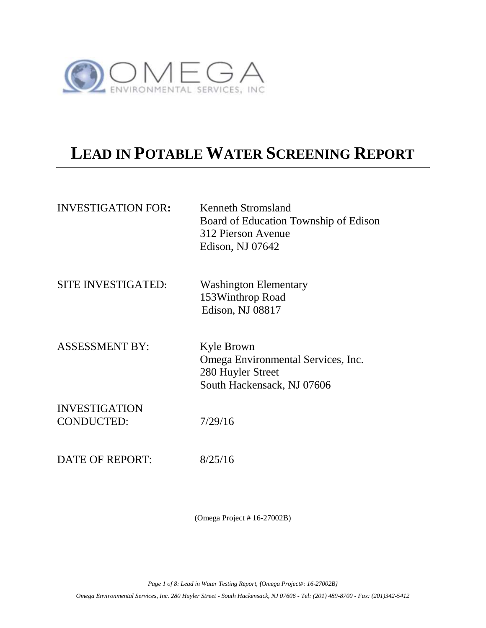

## **LEAD IN POTABLE WATER SCREENING REPORT**

| <b>INVESTIGATION FOR:</b>                 | Kenneth Stromsland<br>Board of Education Township of Edison<br>312 Pierson Avenue<br>Edison, NJ 07642 |
|-------------------------------------------|-------------------------------------------------------------------------------------------------------|
| <b>SITE INVESTIGATED:</b>                 | <b>Washington Elementary</b><br>153Winthrop Road<br>Edison, NJ 08817                                  |
| <b>ASSESSMENT BY:</b>                     | Kyle Brown<br>Omega Environmental Services, Inc.<br>280 Huyler Street<br>South Hackensack, NJ 07606   |
| <b>INVESTIGATION</b><br><b>CONDUCTED:</b> | 7/29/16                                                                                               |
| DATE OF REPORT:                           | 8/25/16                                                                                               |

(Omega Project # 16-27002B)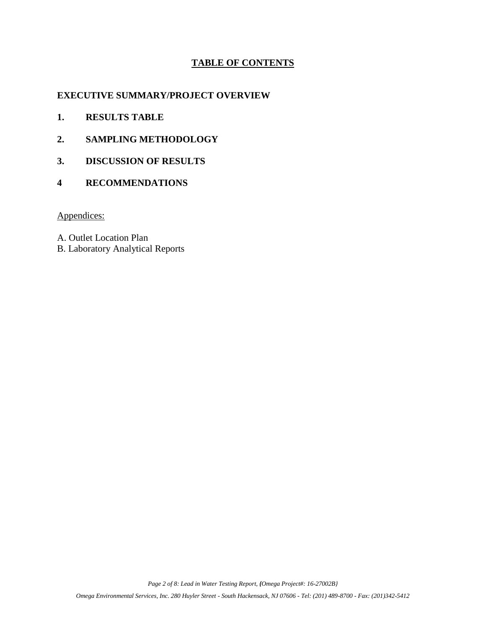## **TABLE OF CONTENTS**

## **EXECUTIVE SUMMARY/PROJECT OVERVIEW**

- **1. RESULTS TABLE**
- **2. SAMPLING METHODOLOGY**
- **3. DISCUSSION OF RESULTS**
- **4 RECOMMENDATIONS**

Appendices:

A. Outlet Location Plan

B. Laboratory Analytical Reports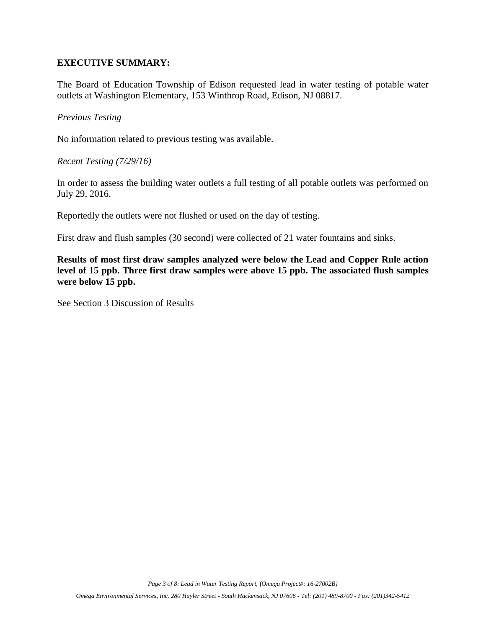## **EXECUTIVE SUMMARY:**

The Board of Education Township of Edison requested lead in water testing of potable water outlets at Washington Elementary, 153 Winthrop Road, Edison, NJ 08817.

*Previous Testing*

No information related to previous testing was available.

*Recent Testing (7/29/16)*

In order to assess the building water outlets a full testing of all potable outlets was performed on July 29, 2016.

Reportedly the outlets were not flushed or used on the day of testing.

First draw and flush samples (30 second) were collected of 21 water fountains and sinks.

**Results of most first draw samples analyzed were below the Lead and Copper Rule action level of 15 ppb. Three first draw samples were above 15 ppb. The associated flush samples were below 15 ppb.**

See Section 3 Discussion of Results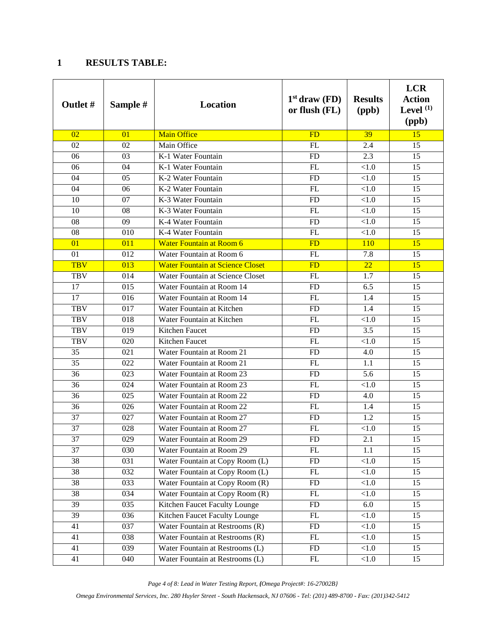## **RESULTS TABLE:**

| <b>Outlet #</b> | Sample # | Location                                | $1st$ draw (FD)<br>or flush (FL) | <b>Results</b><br>(ppb) | <b>LCR</b><br><b>Action</b><br>Level $(1)$<br>(ppb) |
|-----------------|----------|-----------------------------------------|----------------------------------|-------------------------|-----------------------------------------------------|
| 02              | 01       | Main Office                             | FD                               | 39                      | $\overline{15}$                                     |
| 02              | 02       | Main Office                             | FL                               | 2.4                     | 15                                                  |
| 06              | 03       | K-1 Water Fountain                      | <b>FD</b>                        | 2.3                     | 15                                                  |
| 06              | 04       | K-1 Water Fountain                      | FL                               | < 1.0                   | 15                                                  |
| 04              | 05       | K-2 Water Fountain                      | <b>FD</b>                        | <1.0                    | 15                                                  |
| 04              | 06       | K-2 Water Fountain                      | FL                               | < 1.0                   | 15                                                  |
| 10              | 07       | K-3 Water Fountain                      | <b>FD</b>                        | $<1.0$                  | 15                                                  |
| 10              | 08       | K-3 Water Fountain                      | FL                               | < 1.0                   | 15                                                  |
| 08              | 09       | K-4 Water Fountain                      | FD                               | < 1.0                   | 15                                                  |
| 08              | 010      | K-4 Water Fountain                      | FL                               | < 1.0                   | 15                                                  |
| 01              | 011      | <b>Water Fountain at Room 6</b>         | <b>FD</b>                        | 110                     | 15                                                  |
| 01              | 012      | Water Fountain at Room 6                | FL                               | 7.8                     | 15                                                  |
| <b>TBV</b>      | 013      | <b>Water Fountain at Science Closet</b> | <b>FD</b>                        | 22                      | 15                                                  |
| <b>TBV</b>      | 014      | Water Fountain at Science Closet        | FL                               | 1.7                     | 15                                                  |
| 17              | 015      | Water Fountain at Room 14               | <b>FD</b>                        | 6.5                     | 15                                                  |
| 17              | 016      | Water Fountain at Room 14               | FL                               | 1.4                     | 15                                                  |
| <b>TBV</b>      | 017      | Water Fountain at Kitchen               | <b>FD</b>                        | 1.4                     | 15                                                  |
| <b>TBV</b>      | 018      | Water Fountain at Kitchen               | FL                               | < 1.0                   | 15                                                  |
| <b>TBV</b>      | 019      | Kitchen Faucet                          | <b>FD</b>                        | 3.5                     | 15                                                  |
| <b>TBV</b>      | 020      | Kitchen Faucet                          | FL                               | < 1.0                   | 15                                                  |
| 35              | 021      | Water Fountain at Room 21               | FD                               | 4.0                     | 15                                                  |
| 35              | 022      | Water Fountain at Room 21               | FL                               | 1.1                     | 15                                                  |
| 36              | 023      | Water Fountain at Room 23               | <b>FD</b>                        | 5.6                     | 15                                                  |
| 36              | 024      | Water Fountain at Room 23               | FL                               | < 1.0                   | 15                                                  |
| 36              | 025      | Water Fountain at Room 22               | <b>FD</b>                        | 4.0                     | 15                                                  |
| 36              | 026      | Water Fountain at Room 22               | FL                               | 1.4                     | 15                                                  |
| 37              | 027      | Water Fountain at Room 27               | <b>FD</b>                        | 1.2                     | 15                                                  |
| 37              | 028      | Water Fountain at Room 27               | FL                               | < 1.0                   | 15                                                  |
| 37              | 029      | Water Fountain at Room 29               | <b>FD</b>                        | 2.1                     | 15                                                  |
| 37              | 030      | Water Fountain at Room 29               | FL                               | 1.1                     | 15                                                  |
| 38              | 031      | Water Fountain at Copy Room (L)         | FD                               | < 1.0                   | 15                                                  |
| 38              | 032      | Water Fountain at Copy Room (L)         | ${\rm FL}$                       | $<1.0$                  | 15                                                  |
| 38              | 033      | Water Fountain at Copy Room (R)         | FD                               | < 1.0                   | 15                                                  |
| 38              | 034      | Water Fountain at Copy Room (R)         | FL                               | < 1.0                   | 15                                                  |
| 39              | 035      | Kitchen Faucet Faculty Lounge           | ${\rm FD}$                       | 6.0                     | 15                                                  |
| 39              | 036      | Kitchen Faucet Faculty Lounge           | ${\rm FL}$                       | < 1.0                   | 15                                                  |
| 41              | 037      | Water Fountain at Restrooms (R)         | FD                               | < 1.0                   | 15                                                  |
| 41              | 038      | Water Fountain at Restrooms (R)         | FL                               | < 1.0                   | 15                                                  |
| 41              | 039      | Water Fountain at Restrooms (L)         | ${\rm FD}$                       | < 1.0                   | 15                                                  |
| 41              | 040      | Water Fountain at Restrooms (L)         | FL                               | < 1.0                   | 15                                                  |

*Page 4 of 8: Lead in Water Testing Report, {Omega Project#: 16-27002B}*

*Omega Environmental Services, Inc. 280 Huyler Street - South Hackensack, NJ 07606 - Tel: (201) 489-8700 - Fax: (201)342-5412*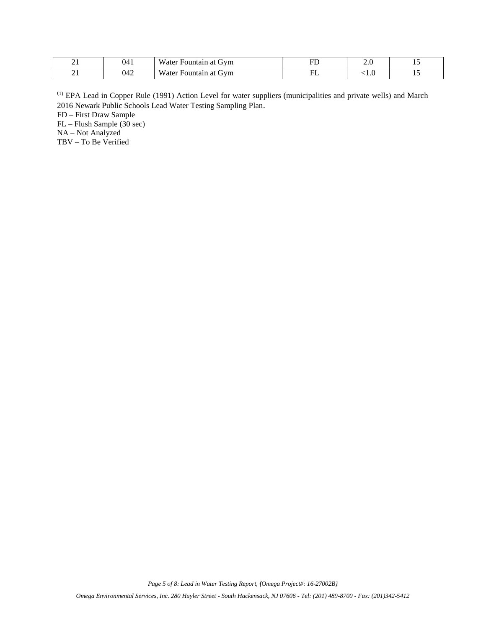| $\overline{\phantom{a}}$ | 041 | <b>TTT</b><br>GVM<br>ı at<br>Fountain<br><b>W</b> ater | --<br>ΤD  | $\sim$ | $\overline{\phantom{0}}$ |
|--------------------------|-----|--------------------------------------------------------|-----------|--------|--------------------------|
| ∠⊥                       | 042 | <b>TTT</b><br>Gvm<br>ı at<br>Fountain<br><i>w</i> ater | ⊥⊥<br>$-$ | 71.U   | $\overline{\phantom{0}}$ |

(1) EPA Lead in Copper Rule (1991) Action Level for water suppliers (municipalities and private wells) and March 2016 Newark Public Schools Lead Water Testing Sampling Plan.

FD – First Draw Sample

FL – Flush Sample (30 sec)

NA – Not Analyzed

TBV – To Be Verified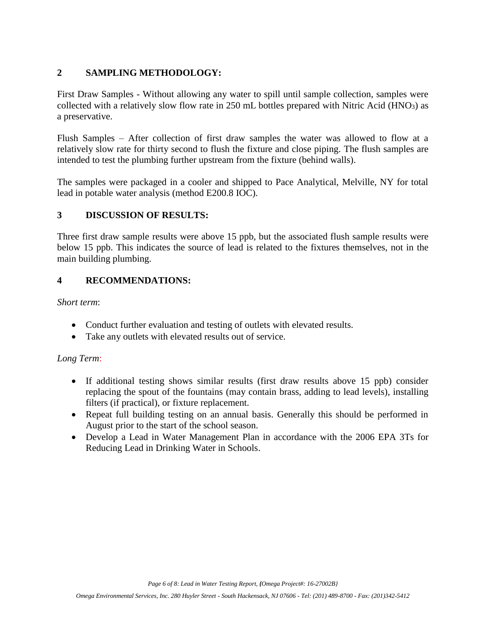## **2 SAMPLING METHODOLOGY:**

First Draw Samples - Without allowing any water to spill until sample collection, samples were collected with a relatively slow flow rate in 250 mL bottles prepared with Nitric Acid (HNO3) as a preservative.

Flush Samples – After collection of first draw samples the water was allowed to flow at a relatively slow rate for thirty second to flush the fixture and close piping. The flush samples are intended to test the plumbing further upstream from the fixture (behind walls).

The samples were packaged in a cooler and shipped to Pace Analytical, Melville, NY for total lead in potable water analysis (method E200.8 IOC).

## **3 DISCUSSION OF RESULTS:**

Three first draw sample results were above 15 ppb, but the associated flush sample results were below 15 ppb. This indicates the source of lead is related to the fixtures themselves, not in the main building plumbing.

## **4 RECOMMENDATIONS:**

*Short term*:

- Conduct further evaluation and testing of outlets with elevated results.
- Take any outlets with elevated results out of service.

## *Long Term*:

- If additional testing shows similar results (first draw results above 15 ppb) consider replacing the spout of the fountains (may contain brass, adding to lead levels), installing filters (if practical), or fixture replacement.
- Repeat full building testing on an annual basis. Generally this should be performed in August prior to the start of the school season.
- Develop a Lead in Water Management Plan in accordance with the 2006 EPA 3Ts for Reducing Lead in Drinking Water in Schools.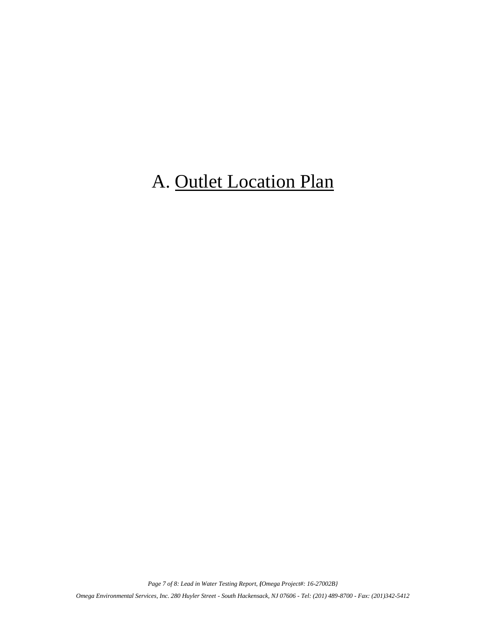## A. Outlet Location Plan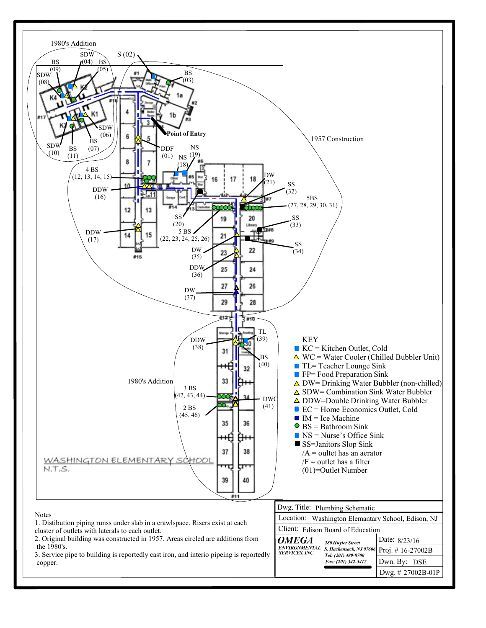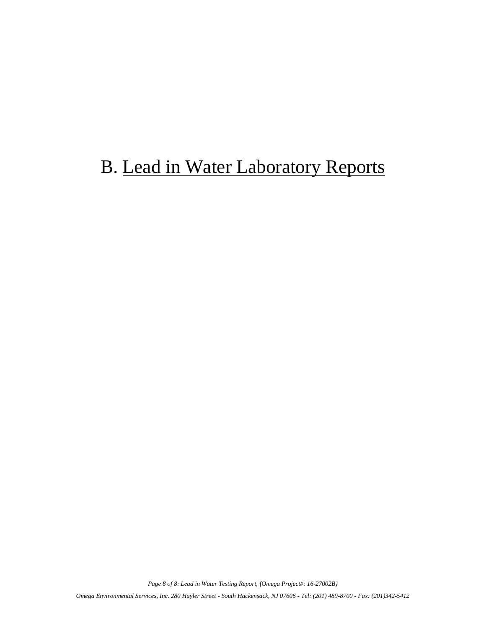## B. Lead in Water Laboratory Reports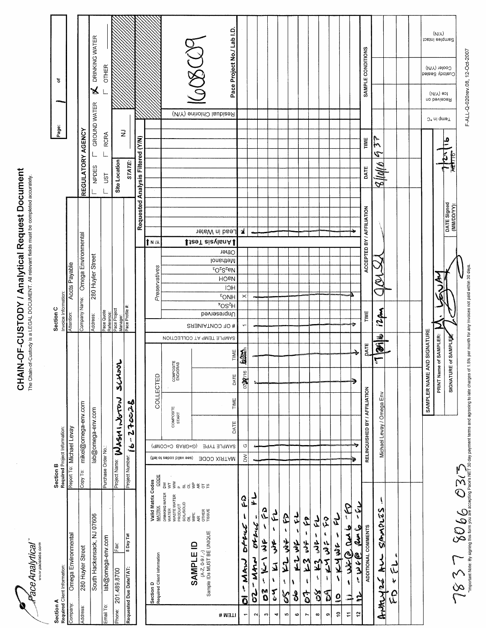Pace Analytical" 

# **CHAIN-OF-CUSTODY / Analytical Request Document**<br>The Chain-of-Custody is a LEGAL DOCUMENT. All relevant fields must be completed accurately.

|                                           |                                                                                           | Section B                                                                                                                                                            | Section C                                                                                                                                          |                                                                                                    |
|-------------------------------------------|-------------------------------------------------------------------------------------------|----------------------------------------------------------------------------------------------------------------------------------------------------------------------|----------------------------------------------------------------------------------------------------------------------------------------------------|----------------------------------------------------------------------------------------------------|
| Section A<br>Required Client Information: |                                                                                           | Required Project Information:                                                                                                                                        | Invoice Information:                                                                                                                               | ৳<br>Page:                                                                                         |
| Company:                                  | Omega Environmental                                                                       | Report To: Michael Levay                                                                                                                                             | Accts Payable<br>Attention:                                                                                                                        |                                                                                                    |
| Address:                                  | 280 Huyler Street                                                                         | mikel@omega-env.com<br>Copy To:                                                                                                                                      | Company Name: Omega Environmental                                                                                                                  | REGULATORY AGENCY                                                                                  |
|                                           | South Hackensack, NJ 07606                                                                | lab@omega-env.com                                                                                                                                                    | 280 Huyler Street<br>Address:                                                                                                                      | DRINKING WATER<br>ጜ<br>GROUND WATER<br>NPDES                                                       |
| Email To:                                 | lab@omega-env.com                                                                         | Purchase Order No.:                                                                                                                                                  |                                                                                                                                                    | <b>OTHER</b><br><b>RCRA</b><br>JST                                                                 |
| Phone:                                    | Fax:<br>201.489.8700                                                                      | Jacyros<br><b>Project Name:</b> Wasn't Norton                                                                                                                        | Pace Quote<br>Reference:<br>Pace Project<br>Manager:                                                                                               | Site Location                                                                                      |
| Requested Due Date/TAT:                   | 5 Day Tat                                                                                 | $16 - 27$ coc28<br>Project Number:                                                                                                                                   | Pace Profile #                                                                                                                                     | $\gtrsim$<br>STATE:                                                                                |
|                                           |                                                                                           |                                                                                                                                                                      |                                                                                                                                                    | Requested Analysis Filtered (Y/N)                                                                  |
|                                           | Valid Matrix Codes<br><b>MATRIX</b><br>Section D<br>Required Client Information           | COLLECTED<br>CODE                                                                                                                                                    | 1 N /<br>Preservatives                                                                                                                             |                                                                                                    |
|                                           | DRINKING WATER<br>WATER<br>WASTE WATER<br>PRODUCT<br><b>SOIL/SOLID</b><br>$\overline{a}$  | SAMPLE TEMP AT COLLECTION<br>COMPOSITE<br>END/GRAB<br>COMPOSITE<br>START<br>(AMOO=O BARD=O)<br>(fiel of aeboo bilsv ees)<br>$\check{\mathsf{s}}$<br>$\lesssim$<br>a. |                                                                                                                                                    |                                                                                                    |
|                                           | WPE<br>AR<br>OTHER<br>TISSUE<br>(A-Z, 0-9 / ,-)<br>Sample IDs MUST BE UNIQUE<br>SAMPLE ID | គីគឺ្និងស្រុ                                                                                                                                                         | <b>Utablysis Test</b><br><b>A OF CONTAINERS</b>                                                                                                    | $\breve{\otimes}$<br>Residual Chlorine (Y/N)                                                       |
| ITEM #                                    |                                                                                           | TIME<br>DATE<br>TIME<br>DATE<br><b>SAMPLE TYPE</b><br><b>JOO XIRTAM</b>                                                                                              | tead in Water<br>Other<br>Methanol<br>$602Sz$ eN<br><b>HO<sub>B</sub></b><br><b>HCI</b><br>EOMH<br>$\overline{H^5}$ OS <sup>t</sup><br>Unpresended | Pace Project No./ Lab I.D                                                                          |
| ์ดี<br>٣                                  | es<br>1<br>f<br>しぞうか<br>ر<br>مەيم<br>Ą                                                    | <b>ASSE</b><br>0700116<br>$_{\circ}$<br>$\geq$                                                                                                                       | 生<br>$\times$<br>$\overline{ }$                                                                                                                    |                                                                                                    |
| <b>SP</b><br>$\sim$                       | لہ<br>بد<br>4<br>لمصلوله والمعطين<br>いんさ<br>ţ,                                            |                                                                                                                                                                      |                                                                                                                                                    |                                                                                                    |
| 3<br>0<br>w                               | ۹<br>م<br>さる<br>ړ<br>ţ                                                                    |                                                                                                                                                                      |                                                                                                                                                    |                                                                                                    |
| $\boldsymbol{\xi}$<br>4                   | ل<br>م<br>$\mathbf \lambda$<br>لموش<br>J<br>ı                                             |                                                                                                                                                                      |                                                                                                                                                    |                                                                                                    |
| <b>SS</b><br>ю                            | \$<br>۸<br>りろ<br><u>لۍ</u><br>ţ                                                           |                                                                                                                                                                      |                                                                                                                                                    |                                                                                                    |
| 8<br>$\boldsymbol{\omega}$                | لہ<br>ب<br>乡<br>てっ<br>١                                                                   |                                                                                                                                                                      |                                                                                                                                                    |                                                                                                    |
| <b>2</b><br>Ľ                             | 2<br>$\pmb{\mathfrak{t}}$<br>号<br>ر<br>لا<br>A                                            |                                                                                                                                                                      |                                                                                                                                                    |                                                                                                    |
| δ<br>δ<br>$\infty$                        | $\frac{1}{2}$<br>$\pmb{\mathsf{t}}$<br>$\frac{1}{2}$<br>م<br>مح<br>$\pmb{\mathfrak{c}}$   |                                                                                                                                                                      |                                                                                                                                                    |                                                                                                    |
| ð<br>თ                                    | ζý<br>$\sqrt{2}$<br>オフ きゅ<br>ğ.                                                           |                                                                                                                                                                      |                                                                                                                                                    |                                                                                                    |
| $\overline{0}$<br>۽                       | B<br>$\mathcal{I}$<br>f<br>ها مهر<br>١<br>$-124.22$<br>Ń                                  |                                                                                                                                                                      |                                                                                                                                                    |                                                                                                    |
| $\mathbf{r}$<br>$\Rightarrow$<br>ż,<br>Ξ  | سرحمه<br>ں<br>جگہ<br>ھ<br>جلاد<br><b>ھاءم -</b>                                           | Ð                                                                                                                                                                    | ÷                                                                                                                                                  |                                                                                                    |
|                                           | ADDITIONAL COMMENTS                                                                       | <b>DATE</b><br>RELINQUISHED BY / AFFILIATION                                                                                                                         | ACCEPTED BY / AFFILIATION<br>TIME                                                                                                                  | SAMPLE CONDITIONS<br>TIME<br>DATE                                                                  |
|                                           | SSTOVASS<br>Anturale Au                                                                   | ی<br>F<br>٢<br>Michael Levay / Omega Env                                                                                                                             | 12 <sub>pm</sub>                                                                                                                                   | $\mathcal{L}$<br>Ĉ<br>$8$ llall 6                                                                  |
| م<br>م                                    | د<br>رنا<br>$\lambda$                                                                     |                                                                                                                                                                      |                                                                                                                                                    |                                                                                                    |
|                                           |                                                                                           |                                                                                                                                                                      |                                                                                                                                                    |                                                                                                    |
|                                           |                                                                                           | SAMPLER NAME AND SIGNATURE                                                                                                                                           |                                                                                                                                                    |                                                                                                    |
|                                           |                                                                                           | PRINT Name of SAMPLER:                                                                                                                                               |                                                                                                                                                    | (VIV)<br>Samples Intact<br>Cooler (Y/N)<br>Custody Sealed<br>lce (V/N)<br>Received on<br>J°ni qme⊤ |
|                                           |                                                                                           | SIGNATURE of SAMPLER                                                                                                                                                 | DATE Signed<br>(MM/DD/YY):                                                                                                                         | ݠ                                                                                                  |

F-ALL-Q-020rev.08, 12-Oct-2007

 $\sum_{\rm{inpoint\,two\,es\,gas\,on\,to\,off\,on\,spin\,of\,on\,as\,as\,on\,of\,of}} \sum_{\rm{in\,non\,as\,on\,so\,on\,so\,on\,so\,on\,so\,on\,so\,on\,so\,of\,1.5\% \,per\,mom\,for\,any\,in\,on\,so\,on\,so\,on\,so\,on\,so\,on\,so\,on\,so\,on\,so\,on\,so\,on\,so\,on\,so\,on\,so\,on\,so\,on\,so\,on\,so\,on\,so\,$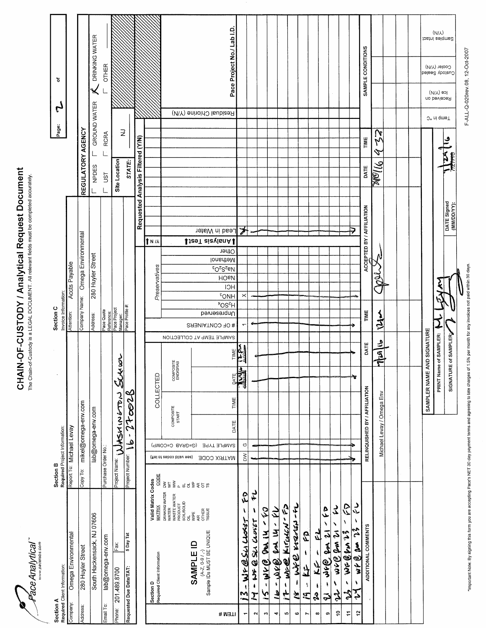**Face Analytical** 

# **CHAIN-OF-CUSTODY / Analytical Request Document**<br>The Chain-of-Custody is a LEGAL DOCUMENT. All relevant fields must be completed accurately.

|                       | Section A<br>Required Client Information:                                                                      | Required Project Information:<br>Section B                                                                                        |                               |                       |                           | Section C                | Invoice Information:                                |                                          |                   |                           |                                   | Page:             | $\mathfrak{r}$            | ৳                                      |                               |  |
|-----------------------|----------------------------------------------------------------------------------------------------------------|-----------------------------------------------------------------------------------------------------------------------------------|-------------------------------|-----------------------|---------------------------|--------------------------|-----------------------------------------------------|------------------------------------------|-------------------|---------------------------|-----------------------------------|-------------------|---------------------------|----------------------------------------|-------------------------------|--|
| Company:              | Omega Environmental                                                                                            | Report To: Michael Levay                                                                                                          |                               |                       |                           | Attention:               |                                                     | Accts Payable                            |                   |                           |                                   |                   |                           |                                        |                               |  |
| Address:              | 280 Huyler Street                                                                                              | Copy To:                                                                                                                          | mikel@omega-env.com           |                       |                           | Company Name:            |                                                     | Omega Environmental                      |                   |                           |                                   | REGULATORY AGENCY |                           |                                        |                               |  |
|                       | South Hackensack, NJ 07606                                                                                     |                                                                                                                                   | lab@omega-env.com             |                       |                           | Address:                 |                                                     | 280 Huyler Street                        |                   |                           | <b>NPDES</b>                      |                   | GROUND WATER              | $\measuredangle$                       | DRINKING WATER                |  |
| Email To:             | lab@omega-env.com                                                                                              | Purchase Order No.:                                                                                                               |                               |                       |                           | Pace Quote<br>Reference: |                                                     |                                          |                   |                           | UST                               | <b>RCRA</b>       |                           | <b>OTHER</b>                           |                               |  |
| Phone:                | Fax:<br>201.489.8700                                                                                           | Project Name:                                                                                                                     | WASHINGTON                    | Serren                |                           | Pace Project<br>Manager: |                                                     |                                          |                   |                           | Site Location                     |                   |                           |                                        |                               |  |
|                       | 5 Day Tat<br>Requested Due Date/TAT:                                                                           | Project Number:                                                                                                                   | 270028<br>$\,$<br>ه<br>ح      |                       |                           | Pace Profile #:          |                                                     |                                          |                   |                           | STATE:                            | $\gtrsim$         |                           |                                        |                               |  |
|                       |                                                                                                                |                                                                                                                                   |                               |                       |                           |                          |                                                     |                                          |                   |                           | Requested Analysis Filtered (Y/N) |                   |                           |                                        |                               |  |
|                       | Valid Matrix Codes<br><b>MATRIX</b><br>Section D<br>Required Client Information                                | CODE                                                                                                                              |                               | COLLECTED             |                           |                          |                                                     | Preservatives                            | † N /J            |                           |                                   |                   |                           |                                        |                               |  |
|                       | DRINKING WATER<br>WATER<br>WASTE WATER<br>PRODUCT<br>SOIL/SOLID<br>SOIL/SOLID                                  | (fiel of zeboo bilsv ees)<br>$\frac{1}{2}\xi$                                                                                     | COMPOSITE<br>START            | COMPOSITE<br>END/GRAB |                           |                          |                                                     |                                          |                   |                           |                                   |                   |                           |                                        |                               |  |
|                       | OIL<br>VIPE<br>AR<br>OTHER<br>TISSUE<br>$(A-Z, 0-9/$ , $\rightarrow$<br>Sample IDs MUST BE UNIQUE<br>SAMPLE ID | $\begin{array}{c}\n a \stackrel{d}{\sim} 0 \stackrel{d}{\sim} 0 \stackrel{d}{\sim} 0 \stackrel{d}{\sim} 0\nonumber\\ \end{array}$ | SAMPLE TYPE (G=GRAB C=COMP)   |                       | SAMPLE TEMP AT COLLECTION | # OF CONTAINERS          |                                                     |                                          |                   | ↓teeT aiavisnA            |                                   |                   | Residual Chlorine (Y/N)   |                                        |                               |  |
| <b>ITEM#</b>          |                                                                                                                | <b>MATRIX CODE</b>                                                                                                                | DATE                          | TIME                  | TIME                      | Unpreserved              | $E_{\text{OMH}}$<br>$\overline{H^5$ OS <sup>t</sup> | $60S_2$ cay<br><b>HOPN</b><br><b>HCI</b> | Other<br>Methanol | -ead in Water             |                                   |                   |                           |                                        | Pace Project No./ Lab I.D.    |  |
| ٣                     | ζÒ,<br>ı<br>- WF@SLACLOSET<br>$\tilde{\bm{z}}$                                                                 | $\geq$                                                                                                                            | $\circ$                       | $\frac{1}{2}$         | $\frac{1}{2}$             | $\overline{ }$           | $\times$                                            |                                          |                   | ≯                         |                                   |                   |                           |                                        |                               |  |
| $\mathbf{\tilde{z}}$  | t,<br>N<br>$-13.52$<br>I                                                                                       |                                                                                                                                   |                               |                       |                           | ÷                        |                                                     |                                          |                   |                           |                                   |                   |                           |                                        |                               |  |
| n                     | $-$ wh $(8)$ dow in - to<br>$\tilde{\bm{5}}$                                                                   |                                                                                                                                   |                               |                       |                           |                          |                                                     |                                          |                   |                           |                                   |                   |                           |                                        |                               |  |
| 4                     | - wee en 14- EL<br>$\mathbf{a}$                                                                                |                                                                                                                                   |                               |                       |                           |                          |                                                     |                                          |                   |                           |                                   |                   |                           |                                        |                               |  |
| ю                     | Will Kirculin Fir<br>$\pmb{\mathfrak{t}}$<br>ŕ                                                                 |                                                                                                                                   |                               |                       |                           |                          |                                                     |                                          |                   |                           |                                   |                   |                           |                                        |                               |  |
| G                     | うみの そらくご しち<br>t<br>Ž                                                                                          |                                                                                                                                   |                               |                       |                           |                          |                                                     |                                          |                   |                           |                                   |                   |                           |                                        |                               |  |
| r                     | 4g<br>۰<br>त्रै<br>Ą.<br>$\mathbf{C}$                                                                          |                                                                                                                                   |                               |                       |                           |                          |                                                     |                                          |                   |                           |                                   |                   |                           |                                        |                               |  |
| $\boldsymbol{\infty}$ | لمنا<br>I<br>オオ<br>۱<br>2                                                                                      |                                                                                                                                   |                               |                       |                           |                          |                                                     |                                          |                   |                           |                                   |                   |                           |                                        |                               |  |
| თ                     | 4<br>Y<br>Ń<br>$\tilde{\bm{c}}$<br>$\mathbf{z}$<br>e) se<br>$\pmb{\mathsf{S}}$<br>$\tilde{\mathbf{z}}$         |                                                                                                                                   |                               |                       |                           |                          |                                                     |                                          |                   |                           |                                   |                   |                           |                                        |                               |  |
| ę                     | 2<br>S<br>na van 21<br>١<br>2,                                                                                 |                                                                                                                                   |                               |                       |                           |                          |                                                     |                                          |                   |                           |                                   |                   |                           |                                        |                               |  |
| Ξ                     | Ŝ<br>¥<br>WG @fm 23<br>$\mathcal{E}$                                                                           |                                                                                                                                   |                               | ₩                     |                           |                          |                                                     |                                          |                   |                           |                                   |                   |                           |                                        |                               |  |
| $\ddot{r}$            | ر<br>پ<br>١<br>$w \nmid \bigcirc w$ 23<br>١<br>र्                                                              |                                                                                                                                   | RELINQUISHED BY / AFFILIATION |                       | DATE                      | TIME                     |                                                     |                                          |                   | ACCEPTED BY / AFFILIATION | DATE                              | TIME              |                           | SAMPLE CONDITIONS                      |                               |  |
|                       | ADDITIONAL COMMENTS                                                                                            |                                                                                                                                   |                               |                       |                           |                          |                                                     |                                          |                   |                           |                                   |                   |                           |                                        |                               |  |
|                       |                                                                                                                |                                                                                                                                   | Michael Levay / Omega Env     |                       | dally                     | $\frac{1}{2}$            |                                                     |                                          |                   |                           | <b>Molto</b>                      | N<br>Ņ<br>P       |                           |                                        |                               |  |
|                       |                                                                                                                |                                                                                                                                   |                               |                       |                           |                          |                                                     |                                          |                   |                           |                                   |                   |                           |                                        |                               |  |
|                       |                                                                                                                |                                                                                                                                   |                               |                       |                           |                          |                                                     |                                          |                   |                           |                                   |                   |                           |                                        |                               |  |
|                       |                                                                                                                |                                                                                                                                   |                               | SAMPLER NAME          | AND SIGNATURE             |                          |                                                     |                                          |                   |                           |                                   |                   |                           |                                        |                               |  |
|                       |                                                                                                                |                                                                                                                                   |                               |                       | PRINT Name of SAMPLER:    |                          |                                                     |                                          |                   |                           |                                   |                   | Received on<br>J° ni qmeT | Cooler (Y/N)<br>Delse2 \botzu<br>(V/N) | $(N/\lambda)$<br>bann eelqmad |  |
|                       |                                                                                                                |                                                                                                                                   |                               |                       | SIGNATURE of SAMPLER;     |                          |                                                     |                                          |                   |                           |                                   |                   |                           |                                        |                               |  |

F-ALL-Q-020rev.08, 12-Oct-2007

'important Note: By signing this form you are accepting Pace's NET 30 day payment terms and agreeing to late charges of 1.5% per month for any invoices not paid within 30 days.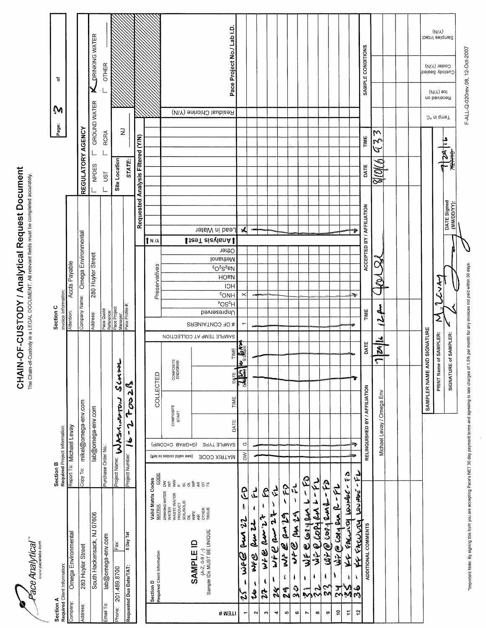

# **CHAIN-OF-CUSTODY / Analytical Request Document**<br>The Chain-of-Custody is a LEGAL DOCUMENT. All relevant fields must be completed accurately.

|                                                                                                             | Section B                                                                                                                                                                                                                                                                                                                                                                                                                                                                                                                                                                                                                                            | Section C                                                                                                                                                         | M                                                                                                    |
|-------------------------------------------------------------------------------------------------------------|------------------------------------------------------------------------------------------------------------------------------------------------------------------------------------------------------------------------------------------------------------------------------------------------------------------------------------------------------------------------------------------------------------------------------------------------------------------------------------------------------------------------------------------------------------------------------------------------------------------------------------------------------|-------------------------------------------------------------------------------------------------------------------------------------------------------------------|------------------------------------------------------------------------------------------------------|
| Section A<br>Required Client Information:                                                                   | Required Project Information:                                                                                                                                                                                                                                                                                                                                                                                                                                                                                                                                                                                                                        | Invoice Information                                                                                                                                               | ৳<br>Page:                                                                                           |
| Omega Environmenta<br>Company:                                                                              | Report To: Michael Levay                                                                                                                                                                                                                                                                                                                                                                                                                                                                                                                                                                                                                             | <b>Accts Payable</b><br>Attention:                                                                                                                                |                                                                                                      |
| 280 Huyler Street<br>Address:                                                                               | mikel@omega-env.com<br>Copy To:                                                                                                                                                                                                                                                                                                                                                                                                                                                                                                                                                                                                                      | Company Name: Ornega Environmental                                                                                                                                | REGULATORY AGENCY                                                                                    |
| South Hackensack, NJ 07606                                                                                  | lab@omega-env.com                                                                                                                                                                                                                                                                                                                                                                                                                                                                                                                                                                                                                                    | 280 Huyler Street<br>Address:                                                                                                                                     | <b>A DRINKING WATER</b><br>GROUND WATER<br>NPDES                                                     |
| lab@omega-env.com<br>Email To:                                                                              | Purchase Order No.:                                                                                                                                                                                                                                                                                                                                                                                                                                                                                                                                                                                                                                  |                                                                                                                                                                   | <b>OTHER</b><br><b>RCRA</b><br>JST                                                                   |
| Fax<br>201.489.8700<br>Phone:                                                                               | SCASSL<br>Project Name: WASA, MATON                                                                                                                                                                                                                                                                                                                                                                                                                                                                                                                                                                                                                  | Pace Quote<br>Reference:<br>Pace Project<br>Manager:<br>Manager:                                                                                                  | Site Location                                                                                        |
| 5 Day Tat<br>Requested Due Date/TAT:                                                                        | 20<br>2<br>ف<br>Project Number:                                                                                                                                                                                                                                                                                                                                                                                                                                                                                                                                                                                                                      |                                                                                                                                                                   | $\gtrsim$<br>STATE:                                                                                  |
|                                                                                                             |                                                                                                                                                                                                                                                                                                                                                                                                                                                                                                                                                                                                                                                      |                                                                                                                                                                   | Requested Analysis Filtered (Y/N)                                                                    |
| Valid Matrix Codes<br><b>MATRIX</b><br>Required Client Information<br>Section D                             | COLLECTED<br>CODE                                                                                                                                                                                                                                                                                                                                                                                                                                                                                                                                                                                                                                    | 1 N / A<br>Preservatives                                                                                                                                          |                                                                                                      |
| DRINKING WATER<br>WATER<br>WASTE WATER<br>PRODUCT<br><b>SOIL/SOLID</b>                                      | COMPOSITE<br>END/GRAB<br>COMPOSITE<br>START<br>(G™OJ=0 BARD=0)<br>(fiel of asboo bilsv eez)<br>$\overset{\text{\tiny def}}{\geqslant} \; \overset{\text{\tiny def}}{\geqslant} \; \overset{\text{\tiny def}}{\leqslant} \; \overset{\text{\tiny def}}{\geqslant} \; \overset{\text{\tiny def}}{\leqslant} \; \overset{\text{\tiny def}}{\leqslant} \; \overset{\text{\tiny def}}{\leqslant} \; \overset{\text{\tiny def}}{\leqslant} \; \overset{\text{\tiny def}}{\leqslant} \; \overset{\text{\tiny def}}{\leqslant} \; \overset{\text{\tiny def}}{\leqslant} \; \overset{\text{\tiny def}}{\leqslant} \; \overset{\text{\tiny def}}{\leqslant} \$ |                                                                                                                                                                   |                                                                                                      |
| <b>OLL</b><br>VIPE<br>CTHER<br>CTHER<br>TISSUE<br>(A-Z, 0-9 / ,-)<br>Sample IDs MUST BE UNIQUE<br>SAMPLE ID | SAMPLE TEMP AT COLLECTION                                                                                                                                                                                                                                                                                                                                                                                                                                                                                                                                                                                                                            | ↓teeT aiavlanA<br># OF CONTAINERS                                                                                                                                 | Residual Chlorine (Y/N)                                                                              |
| <b># WELI</b>                                                                                               | TIME<br>TIME<br>DATE<br><b>SAMPLE TYPE</b><br><b>JOO XIRTAM</b>                                                                                                                                                                                                                                                                                                                                                                                                                                                                                                                                                                                      | Lead in Water<br>Other<br>Methanol<br>$60^\circ$ S $^{5}$ eN<br><b>HO<sub>B</sub></b><br>HCI<br>$E_{\text{ONH}}$<br><sup>v</sup> OS <sup>z</sup> H<br>Unpresended | Pace Project No./ Lab I.D.                                                                           |
| $\mathfrak{C}$<br>ł.<br>Pw 22<br>ھے<br>م<br>ł<br>$\lambda$<br>$\overline{\phantom{0}}$                      | mi <sup>llego 6</sup> orl<br><b>PALLE</b><br>$\circlearrowleft$<br>$\geq$                                                                                                                                                                                                                                                                                                                                                                                                                                                                                                                                                                            | $\blacktriangle$<br>×<br>٣                                                                                                                                        |                                                                                                      |
| لم<br>سل<br>ŧ<br>لم<br>ما<br>مدم<br>こその<br>١<br>Ł,<br>$\sim$                                                |                                                                                                                                                                                                                                                                                                                                                                                                                                                                                                                                                                                                                                                      |                                                                                                                                                                   |                                                                                                      |
| L<br>ŧ<br>جہ<br>きゅう うくら<br>ţ<br>24<br>$\sim$                                                                |                                                                                                                                                                                                                                                                                                                                                                                                                                                                                                                                                                                                                                                      |                                                                                                                                                                   |                                                                                                      |
| ら<br>Ì<br>きゃのらり 2や<br>١<br>X<br>4                                                                           |                                                                                                                                                                                                                                                                                                                                                                                                                                                                                                                                                                                                                                                      |                                                                                                                                                                   |                                                                                                      |
| FQ<br>$\pmb{\mathsf{S}}$<br>ようのらと<br>$\mathfrak{c}$<br>24<br>ю                                              |                                                                                                                                                                                                                                                                                                                                                                                                                                                                                                                                                                                                                                                      |                                                                                                                                                                   |                                                                                                      |
| $\tilde{r}$<br>$\pmb{\mathcal{N}}$<br>ファク そう<br>I<br>$\frac{1}{2}$<br>G                                     |                                                                                                                                                                                                                                                                                                                                                                                                                                                                                                                                                                                                                                                      |                                                                                                                                                                   |                                                                                                      |
| WFC Cory Run L<br>$\pmb{\mathsf{t}}$<br>$\tilde{\bm{v}}$<br>Z                                               | $-50$                                                                                                                                                                                                                                                                                                                                                                                                                                                                                                                                                                                                                                                |                                                                                                                                                                   |                                                                                                      |
| JPQ COPIRAL<br>4<br>2<br>2<br>$\infty$                                                                      | イケー                                                                                                                                                                                                                                                                                                                                                                                                                                                                                                                                                                                                                                                  |                                                                                                                                                                   |                                                                                                      |
| م<br>م<br>$W^2(\theta)$ copy and<br>$\mathbf{f}$<br>ξ<br>Σ<br>თ                                             |                                                                                                                                                                                                                                                                                                                                                                                                                                                                                                                                                                                                                                                      |                                                                                                                                                                   |                                                                                                      |
| We @ cong en le-FL<br>$\frac{2}{\lambda}$<br>š,<br>ş                                                        | e 2                                                                                                                                                                                                                                                                                                                                                                                                                                                                                                                                                                                                                                                  |                                                                                                                                                                   |                                                                                                      |
| FACULTY LOUNER-<br>تعجزنها<br>KF FACULY<br>义<br>V<br>۸<br>န္<br>$\frac{5}{2}$<br>Ξ                          | イケー                                                                                                                                                                                                                                                                                                                                                                                                                                                                                                                                                                                                                                                  | ¥                                                                                                                                                                 |                                                                                                      |
| ADDITIONAL COMMENTS                                                                                         | DATE<br>RELINQUISHED BY / AFFILIATION                                                                                                                                                                                                                                                                                                                                                                                                                                                                                                                                                                                                                | ACCEPTED BY / AFFILIATION<br>TIME                                                                                                                                 | SAMPLE CONDITIONS<br>TIME<br>DATE                                                                    |
|                                                                                                             | $\vec{\mathbb{Z}}$<br>ے<br>Michael Levay / Omega Env                                                                                                                                                                                                                                                                                                                                                                                                                                                                                                                                                                                                 | S<br>سلمر                                                                                                                                                         | W<br>م<br>مح<br>S<br>N<br>S                                                                          |
|                                                                                                             |                                                                                                                                                                                                                                                                                                                                                                                                                                                                                                                                                                                                                                                      |                                                                                                                                                                   |                                                                                                      |
|                                                                                                             |                                                                                                                                                                                                                                                                                                                                                                                                                                                                                                                                                                                                                                                      |                                                                                                                                                                   |                                                                                                      |
|                                                                                                             | AND SIGNATURE<br>SAMPLER NAME                                                                                                                                                                                                                                                                                                                                                                                                                                                                                                                                                                                                                        |                                                                                                                                                                   |                                                                                                      |
|                                                                                                             | me of SAMPLER:<br>PRINT Nar                                                                                                                                                                                                                                                                                                                                                                                                                                                                                                                                                                                                                          | البورج<br>البورج                                                                                                                                                  | (VIV)<br>Samples Intact<br>Cooler (Y/N)<br>Custody Sealed<br>lce (V/N)<br>Received on<br>J'emp in °C |
|                                                                                                             | SIGNATURE of SAMPLER:                                                                                                                                                                                                                                                                                                                                                                                                                                                                                                                                                                                                                                | DATE Signed<br>(MM/DD/YY):                                                                                                                                        |                                                                                                      |

F-ALL-Q-020rev.08, 12-Oct-2007

"important Note: By signing this form you are accepting Pace's NET 30 day payment terms and agreeing to late charges of 1.5% per month for any involces not paid within 30 days.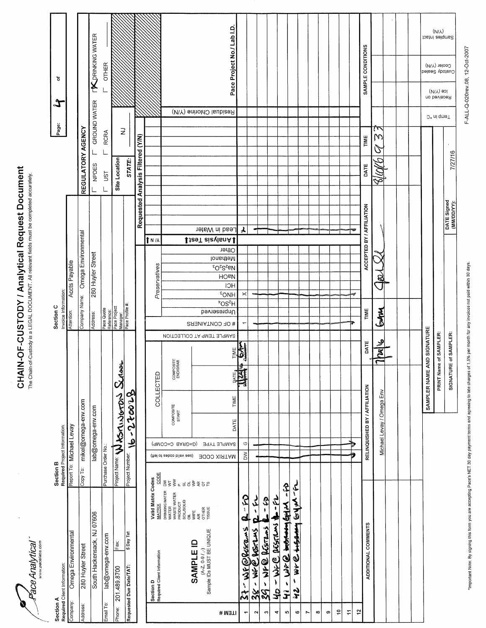**S**<br>Pace Analytical"

# **CHAIN-OF-CUSTODY / Analytical Request Document**<br>The Chain-of-Custody is a LEGAL DOCUMENT. All nelevant fields must be completed accurately.

|                | Section A<br>Required Client Information:                                                           | Required Project Information:<br>Section B |                                       |               |                        |                           | Invoice Information:<br>Section C               |                                                                          |                   |                            |                                   |             | Page:                   | $\mathcal{X}% _{0}=\mathcal{X}_{0}=\mathcal{X}_{0}=\mathcal{X}_{0}=\mathcal{X}_{0}=\mathcal{X}_{0}=\mathcal{X}_{0}=\mathcal{X}_{0}=\mathcal{X}_{0}=\mathcal{X}_{0}=\mathcal{X}_{0}=\mathcal{X}_{0}=\mathcal{X}_{0}=\mathcal{X}_{0}=\mathcal{X}_{0}=\mathcal{X}_{0}=\mathcal{X}_{0}=\mathcal{X}_{0}=\mathcal{X}_{0}=\mathcal{X}_{0}=\mathcal{X}_{0}=\mathcal{X}_{0}=\mathcal{X}_{0}=\mathcal{X}_{0}=\mathcal{X}_{0}=\mathcal{X}_{0}=\mathcal{X}_{0}=\math$ | ъ                          |                |
|----------------|-----------------------------------------------------------------------------------------------------|--------------------------------------------|---------------------------------------|---------------|------------------------|---------------------------|-------------------------------------------------|--------------------------------------------------------------------------|-------------------|----------------------------|-----------------------------------|-------------|-------------------------|-----------------------------------------------------------------------------------------------------------------------------------------------------------------------------------------------------------------------------------------------------------------------------------------------------------------------------------------------------------------------------------------------------------------------------------------------------------|----------------------------|----------------|
| Company:       | Omega Environmental                                                                                 | Report To: Michael Levay                   |                                       |               |                        |                           | Attention:                                      | Accts Payable                                                            |                   |                            |                                   |             |                         |                                                                                                                                                                                                                                                                                                                                                                                                                                                           |                            |                |
| Address:       | 280 Huyler Street                                                                                   | Copy To:                                   | mikel@omega-env.com                   |               |                        |                           |                                                 | Company Name: Omega Environmental                                        |                   |                            | REGULATORY AGENCY                 |             |                         |                                                                                                                                                                                                                                                                                                                                                                                                                                                           |                            |                |
|                | South Hackensack, NJ 07606                                                                          |                                            | lab@omega-env.com                     |               |                        |                           | Address:                                        | 280 Huyler Street                                                        |                   |                            | NPDES                             |             | GROUND WATER            |                                                                                                                                                                                                                                                                                                                                                                                                                                                           | <b>TX</b> DRINKING WATER   |                |
| Email To:      | lab@omega-env.com                                                                                   | Purchase Order No.:                        |                                       |               |                        |                           | Pace Quote<br>Reference:                        |                                                                          |                   |                            | UST                               | <b>RCRA</b> |                         |                                                                                                                                                                                                                                                                                                                                                                                                                                                           | <b>OTHER</b>               |                |
| Phone:         | Fax<br>201.489.8700                                                                                 |                                            | Project Name: WASY INDEPTON           | $\frac{3}{2}$ | 8                      |                           | Pace Project<br>Manager:                        |                                                                          |                   |                            | Site Location                     |             | $\gtrsim$               |                                                                                                                                                                                                                                                                                                                                                                                                                                                           |                            |                |
|                | 5 Day Tat<br>Requested Due Date/TAT:                                                                | Project Number:                            | $4 - 22$ core                         |               |                        |                           | Pace Profile #                                  |                                                                          |                   |                            | STATE:                            |             |                         |                                                                                                                                                                                                                                                                                                                                                                                                                                                           |                            |                |
|                |                                                                                                     |                                            |                                       |               |                        |                           |                                                 |                                                                          |                   |                            | Requested Analysis Filtered (Y/N) |             |                         |                                                                                                                                                                                                                                                                                                                                                                                                                                                           |                            |                |
|                | Valid Matrix Codes<br><b>MATRIX</b><br><b>Section D</b><br>Required Client Information              | CODE                                       |                                       | COLLECTED     |                        |                           |                                                 | Preservatives                                                            | 1 N I             |                            |                                   |             |                         |                                                                                                                                                                                                                                                                                                                                                                                                                                                           |                            |                |
|                | DRINKING WATER<br>WATER<br>WASTE WATER<br>PRODUCT<br>SOIL/SOLID<br>SOIL/SOLID                       | (fiel of asboo bilav ees)<br>353.3333357   | COMPOSITE<br>START<br>(AMOO≕O BARƏ=Ə) |               | COMPOSITE<br>END/GRAB  | SAMPLE TEMP AT COLLECTION |                                                 |                                                                          |                   |                            |                                   |             |                         |                                                                                                                                                                                                                                                                                                                                                                                                                                                           |                            |                |
|                | OL<br>VIPE<br>OTHER<br>OTHER<br>TISSUE<br>(A-Z, 0-9 / ,-)<br>Sample IDs MUST BE UNIQUE<br>SAMPLE ID |                                            |                                       |               |                        |                           |                                                 |                                                                          | ↓JaeT aiavlanA    |                            |                                   |             | Residual Chlorine (Y/N) |                                                                                                                                                                                                                                                                                                                                                                                                                                                           |                            |                |
| # M∃TI         |                                                                                                     | <b>HATRIX CODE</b>                         | DATE<br>SAMPLE TYPE                   | TIME          | TIME                   | # OF CONTAINERS           | $\overline{V}$ OS <sup>Z</sup> H<br>Unpresended | $60^\circ$ S $^{5}$ eN<br><b>HO<sub>B</sub></b><br>HCI<br>$^{\circ}$ ONH | Other<br>Methanol | Lead in Water              |                                   |             |                         |                                                                                                                                                                                                                                                                                                                                                                                                                                                           | Pace Project No./ Lab I.D. |                |
| ٣              | $\mathcal{L}_{2}$<br>$\mathbf{c}$                                                                   | $\geq$                                     | $_{\circ}$                            |               | S<br>♦<br>$\mathbb{Z}$ | $\overline{ }$            |                                                 | ×                                                                        |                   | 人                          |                                   |             |                         |                                                                                                                                                                                                                                                                                                                                                                                                                                                           |                            |                |
| $\sim$         | へん<br>ø<br>37-Wr@26sraws<br>$-38$                                                                   |                                            |                                       |               |                        |                           |                                                 |                                                                          |                   |                            |                                   |             |                         |                                                                                                                                                                                                                                                                                                                                                                                                                                                           |                            |                |
| s              | \$<br>Nr@flssrens<br>١<br>Ş                                                                         |                                            |                                       |               |                        |                           |                                                 |                                                                          |                   |                            |                                   |             |                         |                                                                                                                                                                                                                                                                                                                                                                                                                                                           |                            |                |
| 4              | $\frac{1}{2}$<br>- WFC RESTRAS 1<br>$\mathbf{S}$                                                    |                                            |                                       |               |                        |                           |                                                 |                                                                          |                   |                            |                                   |             |                         |                                                                                                                                                                                                                                                                                                                                                                                                                                                           |                            |                |
| 5              | $\boldsymbol{\hat{z}}$<br>Wr @ intrending<br>$\pmb{\iota}$<br>$\overline{\mathbf{r}}$               |                                            |                                       |               |                        |                           |                                                 |                                                                          |                   |                            |                                   |             |                         |                                                                                                                                                                                                                                                                                                                                                                                                                                                           |                            |                |
| $\bullet$      | ミアのさずまま つうぐん<br>١<br>ر<br>مها                                                                       |                                            |                                       |               |                        |                           |                                                 |                                                                          |                   |                            |                                   |             |                         |                                                                                                                                                                                                                                                                                                                                                                                                                                                           |                            |                |
| $\overline{ }$ |                                                                                                     |                                            |                                       |               |                        |                           |                                                 |                                                                          |                   |                            |                                   |             |                         |                                                                                                                                                                                                                                                                                                                                                                                                                                                           |                            |                |
| ∞              |                                                                                                     |                                            |                                       |               |                        |                           |                                                 |                                                                          |                   |                            |                                   |             |                         |                                                                                                                                                                                                                                                                                                                                                                                                                                                           |                            |                |
| စ              |                                                                                                     |                                            |                                       |               |                        |                           |                                                 |                                                                          |                   |                            |                                   |             |                         |                                                                                                                                                                                                                                                                                                                                                                                                                                                           |                            |                |
| ₽<br>÷         |                                                                                                     |                                            |                                       |               |                        |                           |                                                 |                                                                          |                   |                            |                                   |             |                         |                                                                                                                                                                                                                                                                                                                                                                                                                                                           |                            |                |
| t,             |                                                                                                     |                                            |                                       |               |                        |                           |                                                 | Ģ                                                                        |                   |                            |                                   |             |                         |                                                                                                                                                                                                                                                                                                                                                                                                                                                           |                            |                |
|                | ADDITIONAL COMMENTS                                                                                 |                                            | RELINQUISHED BY / AFFILIATION         |               | DATE                   |                           | TIME                                            |                                                                          |                   | ACCEPTED BY / AFFILIATION  | DATE                              | TIME        |                         |                                                                                                                                                                                                                                                                                                                                                                                                                                                           | SAMPLE CONDITIONS          |                |
|                |                                                                                                     |                                            | Michael Levay / Omega Env             |               | $\frac{9}{8}$          |                           | <b>EMAN</b>                                     | $\mathcal{Q}$                                                            |                   |                            | 210A                              | W<br>گا     | ľ۳                      |                                                                                                                                                                                                                                                                                                                                                                                                                                                           |                            |                |
|                |                                                                                                     |                                            |                                       |               |                        |                           |                                                 |                                                                          |                   |                            |                                   |             |                         |                                                                                                                                                                                                                                                                                                                                                                                                                                                           |                            |                |
|                |                                                                                                     |                                            |                                       |               |                        |                           |                                                 |                                                                          |                   |                            |                                   |             |                         |                                                                                                                                                                                                                                                                                                                                                                                                                                                           |                            |                |
|                |                                                                                                     |                                            |                                       | SAMPLER NAME  | AND SIGNATURE          |                           |                                                 |                                                                          |                   |                            |                                   |             |                         |                                                                                                                                                                                                                                                                                                                                                                                                                                                           |                            |                |
|                |                                                                                                     |                                            |                                       |               | PRINT Name of SAMPLER: |                           |                                                 |                                                                          |                   |                            |                                   |             | J'emp in °C             | lce (V/N)<br>Received on                                                                                                                                                                                                                                                                                                                                                                                                                                  | Cooler (Y/N)               | (N/N)          |
|                |                                                                                                     |                                            |                                       |               | SIGNATURE of SAMPLER:  |                           |                                                 |                                                                          |                   | DATE Signed<br>(MM/DD/YY): |                                   | 7/27/16     |                         |                                                                                                                                                                                                                                                                                                                                                                                                                                                           | Custody Sealed             | Samples Intact |

F-ALL-Q-020rev.08, 12-Oct-2007

"Important Note: By signing this form you are accepting Pace's NET 30 day payment terms and agreeing to late charges of 1.5% per month for any involves not paid within 30 days.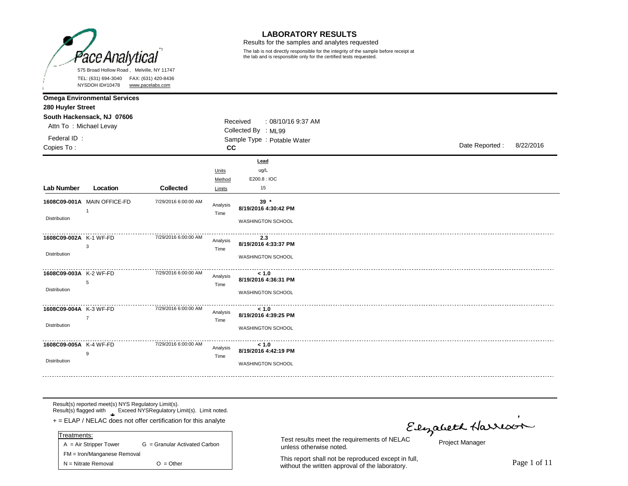

Results for the samples and analytes requested

The lab is not directly responsible for the integrity of the sample before receipt at the lab and is responsible only for the certified tests requested.

|                        | NYSDOH ID#10478                     | www.pacelabs.com     |                  |                                |                |           |
|------------------------|-------------------------------------|----------------------|------------------|--------------------------------|----------------|-----------|
| 280 Huyler Street      | <b>Omega Environmental Services</b> |                      |                  |                                |                |           |
| Attn To: Michael Levay | South Hackensack, NJ 07606          |                      |                  | Received<br>: 08/10/16 9:37 AM |                |           |
| Federal ID:            |                                     |                      |                  | Collected By : ML99            |                |           |
| Copies To:             |                                     |                      | cc               | Sample Type : Potable Water    | Date Reported: | 8/22/2016 |
|                        |                                     |                      |                  |                                |                |           |
|                        |                                     |                      | Units<br>Method  | Lead<br>ug/L<br>E200.8 : IOC   |                |           |
| Lab Number             | Location                            | Collected            | Limits           | 15                             |                |           |
|                        | 1608C09-001A MAIN OFFICE-FD         | 7/29/2016 6:00:00 AM | Analysis<br>Time | $39*$<br>8/19/2016 4:30:42 PM  |                |           |
| <b>Distribution</b>    |                                     |                      |                  | <b>WASHINGTON SCHOOL</b>       |                |           |
| 1608C09-002A K-1 WF-FD | 3                                   | 7/29/2016 6:00:00 AM | Analysis<br>Time | 2.3<br>8/19/2016 4:33:37 PM    |                |           |
| Distribution           |                                     |                      |                  | WASHINGTON SCHOOL              |                |           |
| 1608C09-003A K-2 WF-FD | 5                                   | 7/29/2016 6:00:00 AM | Analysis<br>Time | < 1.0<br>8/19/2016 4:36:31 PM  |                |           |
| Distribution           |                                     |                      |                  | WASHINGTON SCHOOL              |                |           |
| 1608C09-004A K-3 WF-FD | $\overline{7}$                      | 7/29/2016 6:00:00 AM | Analysis<br>Time | < 1.0<br>8/19/2016 4:39:25 PM  |                |           |
| Distribution           |                                     |                      |                  | WASHINGTON SCHOOL              |                |           |
| 1608C09-005A K-4 WF-FD | 9                                   | 7/29/2016 6:00:00 AM | Analysis<br>Time | < 1.0<br>8/19/2016 4:42:19 PM  |                |           |
| Distribution           |                                     |                      |                  | <b>WASHINGTON SCHOOL</b>       |                |           |

Result(s) reported meet(s) NYS Regulatory Limit(s). Result(s) flagged with Exceed NYSRegulatory Limit(s). Limit noted.

**\*** + = ELAP / NELAC does not offer certification for this analyte

| Treatments:                 |                               |
|-----------------------------|-------------------------------|
| $A = Air Strepper Tower$    | G = Granular Activated Carbon |
| FM = Iron/Manganese Removal |                               |
| $N =$ Nitrate Removal       | $O = Other$                   |

unless otherwise noted.

This report shall not be reproduced except in full, This report shall not be reproduced except in full,<br>without the written approval of the laboratory.

Elyabeth Harrison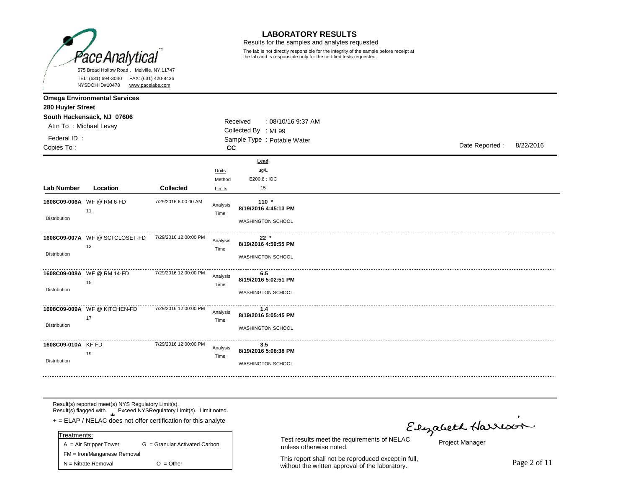

Results for the samples and analytes requested

The lab is not directly responsible for the integrity of the sample before receipt at the lab and is responsible only for the certified tests requested.

|                                    | NYSDOH ID#10478<br>www.pacelabs.com  |                       |                           |                                                             |  |                |           |
|------------------------------------|--------------------------------------|-----------------------|---------------------------|-------------------------------------------------------------|--|----------------|-----------|
| 280 Huyler Street                  | <b>Omega Environmental Services</b>  |                       |                           |                                                             |  |                |           |
| Attn To: Michael Levay             | South Hackensack, NJ 07606           |                       |                           | Received<br>: 08/10/16 9:37 AM<br>Collected By : ML99       |  |                |           |
| Federal ID:<br>Copies To:          |                                      |                       | cc                        | Sample Type : Potable Water                                 |  | Date Reported: | 8/22/2016 |
| Lab Number                         | Location                             | Collected             | Units<br>Method<br>Limits | Lead<br>ug/L<br>E200.8 : IOC<br>15                          |  |                |           |
| <b>Distribution</b>                | 1608C09-006A WF @ RM 6-FD<br>11      | 7/29/2016 6:00:00 AM  | Analysis<br>Time          | $110 *$<br>8/19/2016 4:45:13 PM<br><b>WASHINGTON SCHOOL</b> |  |                |           |
| Distribution                       | 1608C09-007A WF @ SCICLOSET-FD<br>13 | 7/29/2016 12:00:00 PM | Analysis<br>Time          | $22 *$<br>8/19/2016 4:59:55 PM<br>WASHINGTON SCHOOL         |  |                |           |
| Distribution                       | 1608C09-008A WF @ RM 14-FD<br>15     | 7/29/2016 12:00:00 PM | Analysis<br>Time          | 6.5<br>8/19/2016 5:02:51 PM<br>WASHINGTON SCHOOL            |  |                |           |
| Distribution                       | 1608C09-009A WF @ KITCHEN-FD<br>17   | 7/29/2016 12:00:00 PM | Analysis<br>Time          | 1.4<br>8/19/2016 5:05:45 PM<br>WASHINGTON SCHOOL            |  |                |           |
| 1608C09-010A KF-FD<br>Distribution | 19                                   | 7/29/2016 12:00:00 PM | Analysis<br>Time          | 3.5<br>8/19/2016 5:08:38 PM<br><b>WASHINGTON SCHOOL</b>     |  |                |           |

Result(s) reported meet(s) NYS Regulatory Limit(s). Result(s) flagged with Exceed NYSRegulatory Limit(s). Limit noted.

**\*** + = ELAP / NELAC does not offer certification for this analyte

| Treatments:                 |                               |
|-----------------------------|-------------------------------|
| $A = Air Strepper Tower$    | G = Granular Activated Carbon |
| FM = Iron/Manganese Removal |                               |
| $N =$ Nitrate Removal       | $O = Other$                   |

unless otherwise noted.

This report shall not be reproduced except in full, This report shall not be reproduced except in full,<br>without the written approval of the laboratory.

Elyabeth Harrison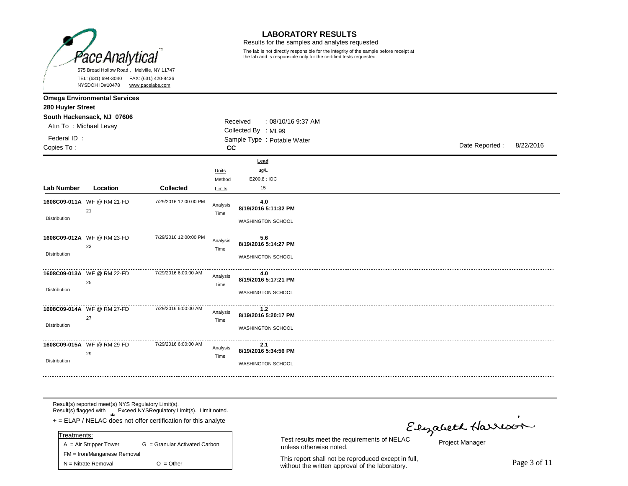

Results for the samples and analytes requested

The lab is not directly responsible for the integrity of the sample before receipt at the lab and is responsible only for the certified tests requested.

|                           | NYSDOH ID#10478                     | www.pacelabs.com      |                           |                                                         |  |                |           |
|---------------------------|-------------------------------------|-----------------------|---------------------------|---------------------------------------------------------|--|----------------|-----------|
| 280 Huyler Street         | <b>Omega Environmental Services</b> |                       |                           |                                                         |  |                |           |
| Attn To: Michael Levay    | South Hackensack, NJ 07606          |                       |                           | Received<br>: 08/10/16 9:37 AM<br>Collected By : ML99   |  |                |           |
| Federal ID:<br>Copies To: |                                     |                       | cc                        | Sample Type : Potable Water                             |  | Date Reported: | 8/22/2016 |
| Lab Number                | Location                            | Collected             | Units<br>Method<br>Limits | Lead<br>ug/L<br>E200.8 : IOC<br>15                      |  |                |           |
| Distribution              | 1608C09-011A WF @ RM 21-FD<br>21    | 7/29/2016 12:00:00 PM | Analysis<br>Time          | 4.0<br>8/19/2016 5:11:32 PM<br><b>WASHINGTON SCHOOL</b> |  |                |           |
| Distribution              | 1608C09-012A WF @ RM 23-FD<br>23    | 7/29/2016 12:00:00 PM | Analysis<br>Time          | 5.6<br>8/19/2016 5:14:27 PM<br>WASHINGTON SCHOOL        |  |                |           |
| Distribution              | 1608C09-013A WF @ RM 22-FD<br>25    | 7/29/2016 6:00:00 AM  | Analysis<br>Time          | 4.0<br>8/19/2016 5:17:21 PM<br>WASHINGTON SCHOOL        |  |                |           |
| Distribution              | 1608C09-014A WF @ RM 27-FD<br>27    | 7/29/2016 6:00:00 AM  | Analysis<br>Time          | $1.2$<br>8/19/2016 5:20:17 PM<br>WASHINGTON SCHOOL      |  |                |           |
| Distribution              | 1608C09-015A WF @ RM 29-FD<br>29    | 7/29/2016 6:00:00 AM  | Analysis<br>Time          | 2.1<br>8/19/2016 5:34:56 PM<br><b>WASHINGTON SCHOOL</b> |  |                |           |

Result(s) reported meet(s) NYS Regulatory Limit(s). Result(s) flagged with Exceed NYSRegulatory Limit(s). Limit noted.

**\*** + = ELAP / NELAC does not offer certification for this analyte

| Treatments:                 |                               |  |  |  |  |  |  |
|-----------------------------|-------------------------------|--|--|--|--|--|--|
| $A = Air Strepper Tower$    | G = Granular Activated Carbon |  |  |  |  |  |  |
| FM = Iron/Manganese Removal |                               |  |  |  |  |  |  |
| $N = N$ itrate Removal      | $O = Other$                   |  |  |  |  |  |  |

unless otherwise noted.

This report shall not be reproduced except in full, This report shall not be reproduced except in full,<br>without the written approval of the laboratory.

Flyabeth Harrison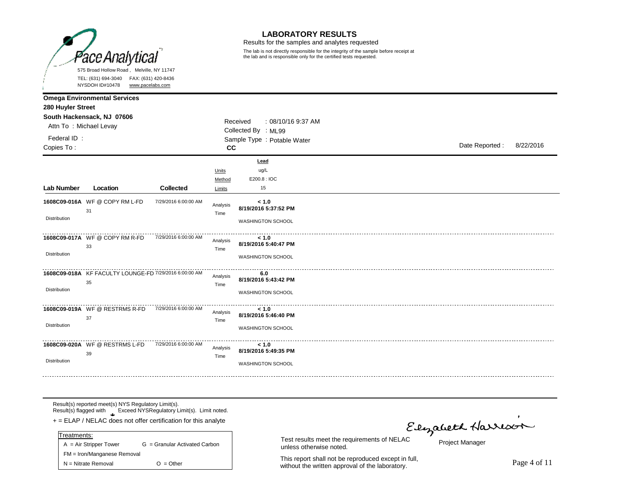

Results for the samples and analytes requested

The lab is not directly responsible for the integrity of the sample before receipt at the lab and is responsible only for the certified tests requested.

|                           | NYSDOH ID#10478<br>www.pacelabs.com                          |                      |                           |                                                           |                |           |
|---------------------------|--------------------------------------------------------------|----------------------|---------------------------|-----------------------------------------------------------|----------------|-----------|
| 280 Huyler Street         | <b>Omega Environmental Services</b>                          |                      |                           |                                                           |                |           |
| Attn To: Michael Levay    | South Hackensack, NJ 07606                                   |                      |                           | Received<br>: 08/10/16 9:37 AM<br>Collected By : ML99     |                |           |
| Federal ID:<br>Copies To: |                                                              |                      | cc                        | Sample Type : Potable Water                               | Date Reported: | 8/22/2016 |
| Lab Number                | Location                                                     | <b>Collected</b>     | Units<br>Method<br>Limits | Lead<br>ug/L<br>E200.8 : IOC<br>15                        |                |           |
| <b>Distribution</b>       | 1608C09-016A WF @ COPY RM L-FD<br>31                         | 7/29/2016 6:00:00 AM | Analysis<br>Time          | < 1.0<br>8/19/2016 5:37:52 PM<br><b>WASHINGTON SCHOOL</b> |                |           |
| Distribution              | 1608C09-017A WF @ COPY RM R-FD<br>33                         | 7/29/2016 6:00:00 AM | Analysis<br>Time          | < 1.0<br>8/19/2016 5:40:47 PM<br>WASHINGTON SCHOOL        |                |           |
| Distribution              | 1608C09-018A KF FACULTY LOUNGE-FD 7/29/2016 6:00:00 AM<br>35 |                      | Analysis<br>Time          | 6.0<br>8/19/2016 5:43:42 PM<br>WASHINGTON SCHOOL          |                |           |
| Distribution              | 1608C09-019A WF @ RESTRMS R-FD<br>37                         | 7/29/2016 6:00:00 AM | Analysis<br>Time          | < 1.0<br>8/19/2016 5:46:40 PM<br>WASHINGTON SCHOOL        |                |           |
| Distribution              | 1608C09-020A WF @ RESTRMS L-FD<br>39                         | 7/29/2016 6:00:00 AM | Analysis<br>Time          | < 1.0<br>8/19/2016 5:49:35 PM<br><b>WASHINGTON SCHOOL</b> |                |           |

Result(s) reported meet(s) NYS Regulatory Limit(s). Result(s) flagged with Exceed NYSRegulatory Limit(s). Limit noted.

**\*** + = ELAP / NELAC does not offer certification for this analyte

| Treatments:                 |                               |  |  |  |  |  |  |
|-----------------------------|-------------------------------|--|--|--|--|--|--|
| $A = Air Strepper Tower$    | G = Granular Activated Carbon |  |  |  |  |  |  |
| FM = Iron/Manganese Removal |                               |  |  |  |  |  |  |
| $N =$ Nitrate Removal       | $O = Other$                   |  |  |  |  |  |  |

unless otherwise noted.

This report shall not be reproduced except in full, This report shall not be reproduced except in full,<br>without the written approval of the laboratory.

Elyabeth Harrison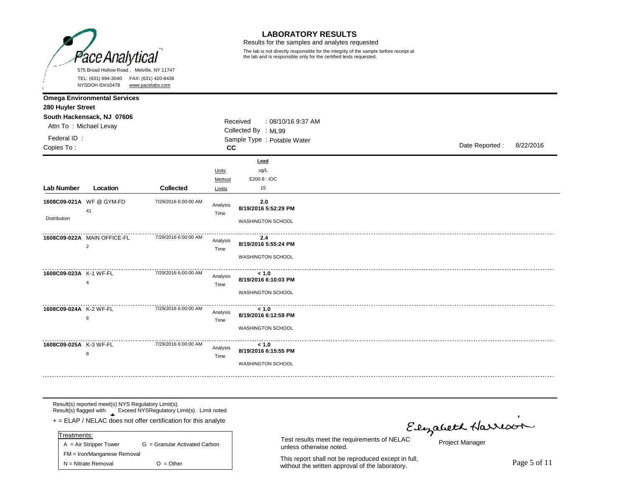

Results for the samples and analytes requested

The lab is not directly responsible for the integrity of the sample before receipt at the lab and is responsible only for the certified tests requested.

|                           | NYSDOH ID#10478                               | www.pacelabs.com                  |                           |                                                       |  |  |                |           |
|---------------------------|-----------------------------------------------|-----------------------------------|---------------------------|-------------------------------------------------------|--|--|----------------|-----------|
| 280 Huyler Street         | <b>Omega Environmental Services</b>           |                                   |                           |                                                       |  |  |                |           |
| Attn To: Michael Levay    | South Hackensack, NJ 07606                    |                                   |                           | Received<br>: 08/10/16 9:37 AM<br>Collected By : ML99 |  |  |                |           |
| Federal ID:<br>Copies To: |                                               | Sample Type : Potable Water<br>cc |                           |                                                       |  |  | Date Reported: | 8/22/2016 |
| Lab Number                | Location                                      | Collected                         | Units<br>Method<br>Limits | Lead<br>ug/L<br>E200.8 : IOC<br>15                    |  |  |                |           |
| Distribution              | 1608C09-021A WF @ GYM-FD<br>41                | 7/29/2016 6:00:00 AM              | Analysis<br>Time          | 2.0<br>8/19/2016 5:52:29 PM<br>WASHINGTON SCHOOL      |  |  |                |           |
|                           | 1608C09-022A MAIN OFFICE-FL<br>$\overline{2}$ | 7/29/2016 6:00:00 AM              | Analysis<br>Time          | 2.4<br>8/19/2016 5:55:24 PM<br>WASHINGTON SCHOOL      |  |  |                |           |
| 1608C09-023A K-1 WF-FL    | $\overline{4}$                                | 7/29/2016 6:00:00 AM              | Analysis<br>Time          | < 1.0<br>8/19/2016 6:10:03 PM<br>WASHINGTON SCHOOL    |  |  |                |           |
| 1608C09-024A K-2 WF-FL    | 6                                             | 7/29/2016 6:00:00 AM              | Analysis<br>Time          | < 1.0<br>8/19/2016 6:12:59 PM<br>WASHINGTON SCHOOL    |  |  |                |           |
| 1608C09-025A K-3 WF-FL    | 8                                             | 7/29/2016 6:00:00 AM              | Analysis<br>Time          | < 1.0<br>8/19/2016 6:15:55 PM<br>WASHINGTON SCHOOL    |  |  |                |           |

Result(s) reported meet(s) NYS Regulatory Limit(s). Result(s) flagged with Exceed NYSRegulatory Limit(s). Limit noted.

**\*** + = ELAP / NELAC does not offer certification for this analyte

| $A = Air Strepper Tower$    | G = Granular Activated Carbon |  |  |  |  |  |  |
|-----------------------------|-------------------------------|--|--|--|--|--|--|
| FM = Iron/Manganese Removal |                               |  |  |  |  |  |  |
| $N = N$ itrate Removal      | $O = Other$                   |  |  |  |  |  |  |
|                             | Treatments:                   |  |  |  |  |  |  |

unless otherwise noted.

This report shall not be reproduced except in full, This report shall not be reproduced except in full,<br>without the written approval of the laboratory.

Elyabeth Harrison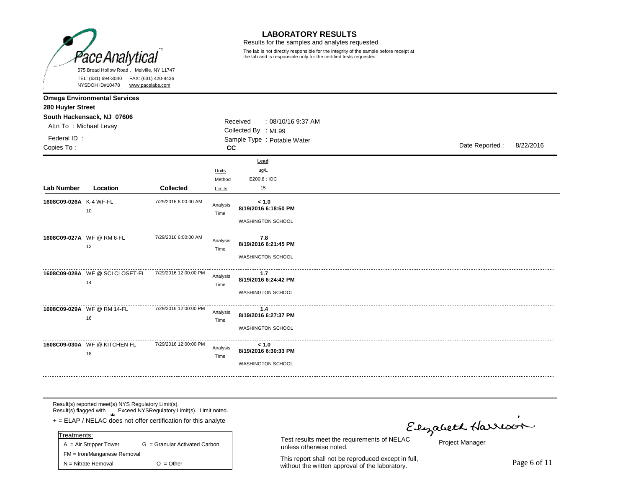

Results for the samples and analytes requested

The lab is not directly responsible for the integrity of the sample before receipt at the lab and is responsible only for the certified tests requested.

|                        | 111000111071070<br>www.pacciaps.com                               |                       |                  |                                                    |  |                             |  |  |  |
|------------------------|-------------------------------------------------------------------|-----------------------|------------------|----------------------------------------------------|--|-----------------------------|--|--|--|
| 280 Huyler Street      | <b>Omega Environmental Services</b><br>South Hackensack, NJ 07606 |                       |                  | Received<br>: 08/10/16 9:37 AM                     |  |                             |  |  |  |
| Attn To: Michael Levay |                                                                   |                       |                  | Collected By : ML99                                |  |                             |  |  |  |
| Federal ID:            |                                                                   |                       |                  | Sample Type : Potable Water                        |  |                             |  |  |  |
| Copies To:             |                                                                   |                       | <b>CC</b>        |                                                    |  | Date Reported:<br>8/22/2016 |  |  |  |
|                        |                                                                   |                       | Units<br>Method  | Lead<br>ug/L<br>E200.8: IOC                        |  |                             |  |  |  |
| <b>Lab Number</b>      | Location                                                          | <b>Collected</b>      | Limits           | 15                                                 |  |                             |  |  |  |
| 1608C09-026A K-4 WF-FL | 10                                                                | 7/29/2016 6:00:00 AM  | Analysis<br>Time | < 1.0<br>8/19/2016 6:18:50 PM<br>WASHINGTON SCHOOL |  |                             |  |  |  |
|                        | 1608C09-027A WF @ RM 6-FL<br>12                                   | 7/29/2016 6:00:00 AM  | Analysis<br>Time | 7.8<br>8/19/2016 6:21:45 PM<br>WASHINGTON SCHOOL   |  |                             |  |  |  |
|                        | 1608C09-028A WF@SCICLOSET-FL<br>14                                | 7/29/2016 12:00:00 PM | Analysis<br>Time | 1.7<br>8/19/2016 6:24:42 PM<br>WASHINGTON SCHOOL   |  |                             |  |  |  |
|                        | 1608C09-029A WF @ RM 14-FL<br>16                                  | 7/29/2016 12:00:00 PM | Analysis<br>Time | 1.4<br>8/19/2016 6:27:37 PM<br>WASHINGTON SCHOOL   |  |                             |  |  |  |
|                        | 1608C09-030A WF @ KITCHEN-FL<br>18                                | 7/29/2016 12:00:00 PM | Analysis<br>Time | < 1.0<br>8/19/2016 6:30:33 PM<br>WASHINGTON SCHOOL |  |                             |  |  |  |

Result(s) reported meet(s) NYS Regulatory Limit(s). Result(s) flagged with Exceed NYSRegulatory Limit(s). Limit noted.

**\*** + = ELAP / NELAC does not offer certification for this analyte

| $A = Air Strepper Tower$    | G = Granular Activated Carbon |  |  |  |  |  |  |
|-----------------------------|-------------------------------|--|--|--|--|--|--|
| FM = Iron/Manganese Removal |                               |  |  |  |  |  |  |
| $N = N$ itrate Removal      | $O = Other$                   |  |  |  |  |  |  |
|                             | Treatments:                   |  |  |  |  |  |  |

unless otherwise noted.

This report shall not be reproduced except in full, This report shall not be reproduced except in full,<br>without the written approval of the laboratory.

Elyabeth Harrison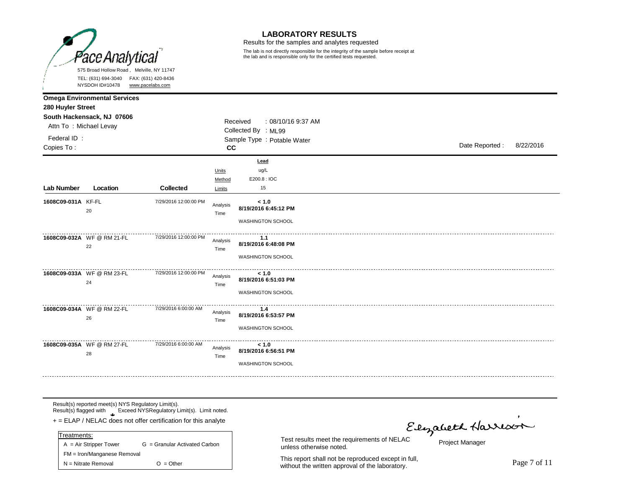

Results for the samples and analytes requested

The lab is not directly responsible for the integrity of the sample before receipt at the lab and is responsible only for the certified tests requested.

|                                                                                   | 1.1.0001110110110                   | <u><b>WWW.puocidoo.com</b></u> |                  |                                                                                      |                |           |
|-----------------------------------------------------------------------------------|-------------------------------------|--------------------------------|------------------|--------------------------------------------------------------------------------------|----------------|-----------|
| 280 Huyler Street                                                                 | <b>Omega Environmental Services</b> |                                |                  |                                                                                      |                |           |
| South Hackensack, NJ 07606<br>Attn To: Michael Levay<br>Federal ID:<br>Copies To: |                                     |                                | cc               | Received<br>: 08/10/16 9:37 AM<br>Collected By : ML99<br>Sample Type : Potable Water | Date Reported: | 8/22/2016 |
|                                                                                   |                                     |                                | Units<br>Method  | Lead<br>ug/L<br>E200.8 : IOC                                                         |                |           |
| <b>Lab Number</b>                                                                 | Location                            | <b>Collected</b>               | Limits           | 15                                                                                   |                |           |
| 1608C09-031A KF-FL                                                                | 20                                  | 7/29/2016 12:00:00 PM          | Analysis<br>Time | < 1.0<br>8/19/2016 6:45:12 PM<br>WASHINGTON SCHOOL                                   |                |           |
|                                                                                   | 1608C09-032A WF @ RM 21-FL<br>22    | 7/29/2016 12:00:00 PM          | Analysis<br>Time | 1.1<br>8/19/2016 6:48:08 PM<br>WASHINGTON SCHOOL                                     |                |           |
|                                                                                   | 1608C09-033A WF @ RM 23-FL<br>24    | 7/29/2016 12:00:00 PM          | Analysis<br>Time | < 1.0<br>8/19/2016 6:51:03 PM<br><b>WASHINGTON SCHOOL</b>                            |                |           |
|                                                                                   | 1608C09-034A WF @ RM 22-FL<br>26    | 7/29/2016 6:00:00 AM           | Analysis<br>Time | $1.4$<br>8/19/2016 6:53:57 PM<br>WASHINGTON SCHOOL                                   |                |           |
|                                                                                   | 1608C09-035A WF @ RM 27-FL<br>28    | 7/29/2016 6:00:00 AM           | Analysis<br>Time | < 1.0<br>8/19/2016 6:56:51 PM<br><b>WASHINGTON SCHOOL</b>                            |                |           |

Result(s) reported meet(s) NYS Regulatory Limit(s). Result(s) flagged with Exceed NYSRegulatory Limit(s). Limit noted.

**\*** + = ELAP / NELAC does not offer certification for this analyte

| $A = Air Strepper Tower$    | G = Granular Activated Carbon |  |  |  |  |  |  |
|-----------------------------|-------------------------------|--|--|--|--|--|--|
| FM = Iron/Manganese Removal |                               |  |  |  |  |  |  |
| $N = N$ itrate Removal      | $O = Other$                   |  |  |  |  |  |  |
|                             | Treatments:                   |  |  |  |  |  |  |

unless otherwise noted.

This report shall not be reproduced except in full, This report shall not be reproduced except in full,<br>without the written approval of the laboratory.

Elyabeth Harrison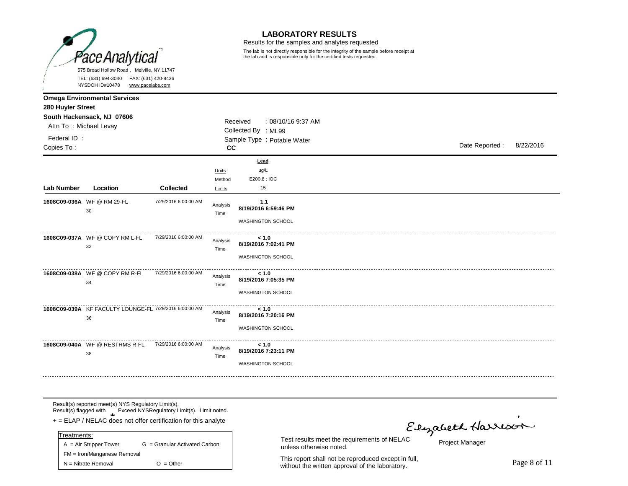

Results for the samples and analytes requested

The lab is not directly responsible for the integrity of the sample before receipt at the lab and is responsible only for the certified tests requested.

|                           | NYSDOH ID#10478<br>www.pacelabs.com                          |                      |                           |                                                           |  |                |           |
|---------------------------|--------------------------------------------------------------|----------------------|---------------------------|-----------------------------------------------------------|--|----------------|-----------|
| 280 Huyler Street         | <b>Omega Environmental Services</b>                          |                      |                           |                                                           |  |                |           |
| Attn To: Michael Levay    | South Hackensack, NJ 07606                                   |                      |                           | Received<br>$: 08/10/169:37$ AM<br>Collected By : ML99    |  |                |           |
| Federal ID:<br>Copies To: |                                                              |                      | cc                        | Sample Type : Potable Water                               |  | Date Reported: | 8/22/2016 |
| Lab Number                | Location                                                     | <b>Collected</b>     | Units<br>Method<br>Limits | Lead<br>ug/L<br>E200.8: IOC<br>15                         |  |                |           |
|                           | 1608C09-036A WF @ RM 29-FL<br>30                             | 7/29/2016 6:00:00 AM | Analysis<br>Time          | 1.1<br>8/19/2016 6:59:46 PM<br>WASHINGTON SCHOOL          |  |                |           |
|                           | 1608C09-037A WF @ COPY RM L-FL<br>32                         | 7/29/2016 6:00:00 AM | Analysis<br>Time          | < 1.0<br>8/19/2016 7:02:41 PM<br>WASHINGTON SCHOOL        |  |                |           |
|                           | 1608C09-038A WF @ COPY RM R-FL<br>34                         | 7/29/2016 6:00:00 AM | Analysis<br>Time          | < 1.0<br>8/19/2016 7:05:35 PM<br><b>WASHINGTON SCHOOL</b> |  |                |           |
|                           | 1608C09-039A KF FACULTY LOUNGE-FL 7/29/2016 6:00:00 AM<br>36 |                      | Analysis<br>Time          | < 1.0<br>8/19/2016 7:20:16 PM<br>WASHINGTON SCHOOL        |  |                |           |
|                           | 1608C09-040A WF @ RESTRMS R-FL<br>38                         | 7/29/2016 6:00:00 AM | Analysis<br>Time          | < 1.0<br>8/19/2016 7:23:11 PM<br>WASHINGTON SCHOOL        |  |                |           |

Result(s) reported meet(s) NYS Regulatory Limit(s). Result(s) flagged with Exceed NYSRegulatory Limit(s). Limit noted.

**\*** + = ELAP / NELAC does not offer certification for this analyte

| $A = Air Strepper Tower$    | G = Granular Activated Carbon |  |  |  |  |  |  |
|-----------------------------|-------------------------------|--|--|--|--|--|--|
| FM = Iron/Manganese Removal |                               |  |  |  |  |  |  |
| $N = N$ itrate Removal      | $O = Other$                   |  |  |  |  |  |  |
|                             | Treatments:                   |  |  |  |  |  |  |

unless otherwise noted.

This report shall not be reproduced except in full, This report shall not be reproduced except in full,<br>without the written approval of the laboratory.

Elyabeth Harrison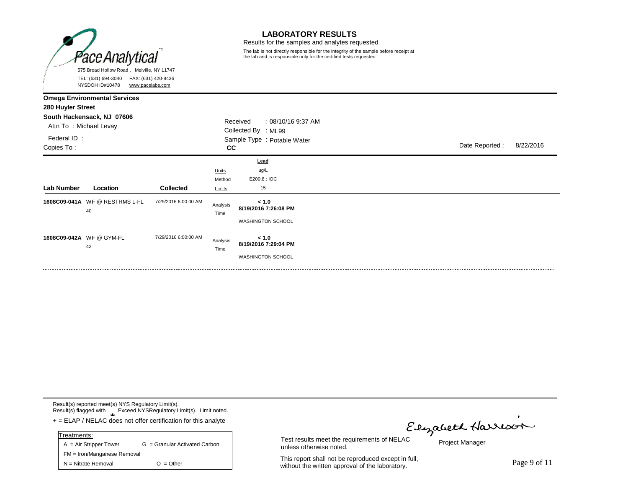

Results for the samples and analytes requested

The lab is not directly responsible for the integrity of the sample before receipt at the lab and is responsible only for the certified tests requested.

|                                                                                                                                               | NYSDOH ID#10478<br>www.pacelabs.com |                      |                                                                                            |                                                           |  |                |  |  |
|-----------------------------------------------------------------------------------------------------------------------------------------------|-------------------------------------|----------------------|--------------------------------------------------------------------------------------------|-----------------------------------------------------------|--|----------------|--|--|
| <b>Omega Environmental Services</b><br>280 Huyler Street<br>South Hackensack, NJ 07606<br>Attn To: Michael Levay<br>Federal ID:<br>Copies To: |                                     |                      | Received<br>: 08/10/16 9:37 AM<br>Collected By : ML99<br>Sample Type : Potable Water<br>cc |                                                           |  | Date Reported: |  |  |
| Lab Number                                                                                                                                    | Location                            | Collected            | Units<br>Method<br>Limits                                                                  | Lead<br>ug/L<br>E200.8: IOC<br>15                         |  |                |  |  |
| 40                                                                                                                                            | 1608C09-041A WF @ RESTRMS L-FL      | 7/29/2016 6:00:00 AM | Analysis<br>Time                                                                           | < 1.0<br>8/19/2016 7:26:08 PM<br><b>WASHINGTON SCHOOL</b> |  |                |  |  |
| 1608C09-042A WF@GYM-FL<br>42                                                                                                                  |                                     | 7/29/2016 6:00:00 AM | Analysis<br>Time                                                                           | < 1.0<br>8/19/2016 7:29:04 PM<br><b>WASHINGTON SCHOOL</b> |  |                |  |  |

Result(s) reported meet(s) NYS Regulatory Limit(s). Result(s) flagged with Exceed NYSRegulatory Limit(s). Limit noted.

**\*** + = ELAP / NELAC does not offer certification for this analyte

| Treatments:                 |                               |  |  |  |  |
|-----------------------------|-------------------------------|--|--|--|--|
| $A = Air Strepper Tower$    | G = Granular Activated Carbon |  |  |  |  |
| FM = Iron/Manganese Removal |                               |  |  |  |  |
| $N = N$ itrate Removal      | $O = Other$                   |  |  |  |  |

Elizabeth Harrison

Project Manager

This report shall not be reproduced except in full, This report shall not be reproduced except in full,<br>without the written approval of the laboratory.

Test results meet the requirements of NELAC

unless otherwise noted.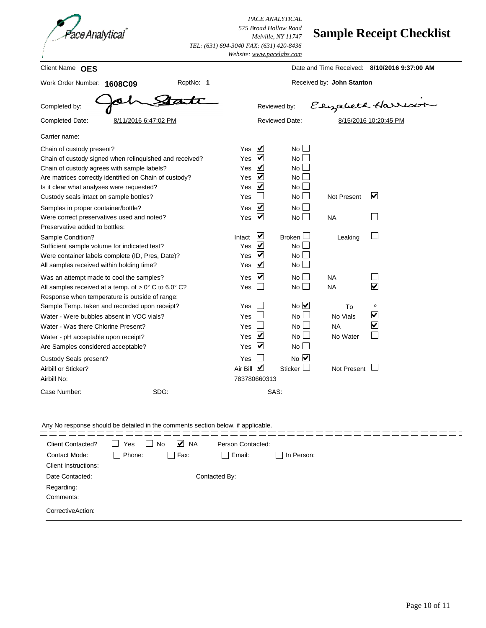

*PACE ANALYTICAL 575 Broad Hollow Road Melville, NY 11747 Website: [www.pacelabs.com](http://www.pacelabs.com) TEL: (631) 694-3040 FAX: (631) 420-8436*

## **Sample Receipt Checklist**

|                                                                                                                                                                                                                                            |                                        | websue: <u>www.pacetabs.com</u>                                                                                                            |                                         |                                              |
|--------------------------------------------------------------------------------------------------------------------------------------------------------------------------------------------------------------------------------------------|----------------------------------------|--------------------------------------------------------------------------------------------------------------------------------------------|-----------------------------------------|----------------------------------------------|
| Client Name OES                                                                                                                                                                                                                            |                                        |                                                                                                                                            |                                         | Date and Time Received: 8/10/2016 9:37:00 AM |
| Work Order Number: 1608C09                                                                                                                                                                                                                 | RcptNo: 1                              |                                                                                                                                            | Received by: John Stanton               |                                              |
| Completed by:                                                                                                                                                                                                                              |                                        | Reviewed by:                                                                                                                               |                                         | Elizabeth Harrison                           |
| Completed Date:<br>8/11/2016 6:47:02 PM                                                                                                                                                                                                    |                                        | <b>Reviewed Date:</b>                                                                                                                      |                                         | 8/15/2016 10:20:45 PM                        |
| Carrier name:                                                                                                                                                                                                                              |                                        |                                                                                                                                            |                                         |                                              |
| Chain of custody present?<br>Chain of custody signed when relinquished and received?<br>Chain of custody agrees with sample labels?<br>Are matrices correctly identified on Chain of custody?<br>Is it clear what analyses were requested? | Yes<br>Yes<br>Yes<br>Yes<br>Yes        | $\blacktriangledown$<br>$No$ $\Box$<br>$\blacktriangledown$<br>No <sub>1</sub><br>⊻<br>$No$ $\Box$<br>⊻<br>$No$ $\Box$<br>⊻<br>$No$ $\Box$ |                                         |                                              |
| Custody seals intact on sample bottles?<br>Samples in proper container/bottle?<br>Were correct preservatives used and noted?<br>Preservative added to bottles:                                                                             | Yes<br>Yes<br>Yes                      | No <sub>1</sub><br>$\blacktriangledown$<br>No <sub>1</sub><br>⊻<br>$No$ $\Box$                                                             | <b>Not Present</b><br><b>NA</b>         | ☑                                            |
| Sample Condition?<br>Sufficient sample volume for indicated test?<br>Were container labels complete (ID, Pres, Date)?<br>All samples received within holding time?                                                                         | Intact<br>Yes<br>Yes<br>Yes            | ∨<br>Broken $\Box$<br>∨<br>No<br>⊻<br>$No$ $\Box$<br>⊻<br>$No$ $\Box$                                                                      | Leaking                                 |                                              |
| Was an attempt made to cool the samples?<br>All samples received at a temp. of $> 0^{\circ}$ C to 6.0° C?<br>Response when temperature is outside of range:                                                                                | Yes<br>Yes                             | ⊻<br>No<br>$No$ $\Box$                                                                                                                     | <b>NA</b><br><b>NA</b>                  | $\blacktriangledown$                         |
| Sample Temp. taken and recorded upon receipt?<br>Water - Were bubbles absent in VOC vials?<br>Water - Was there Chlorine Present?<br>Water - pH acceptable upon receipt?<br>Are Samples considered acceptable?                             | Yes<br>Yes<br>Yes<br><b>Yes</b><br>Yes | $No$ $\overline{\vee}$<br>$No$ $\Box$<br>$No \Box$<br>⊻<br>$No$ $\Box$<br>⊻<br>$No$ $\Box$                                                 | To<br>No Vials<br><b>NA</b><br>No Water | o<br>☑<br>$\overline{\blacktriangledown}$    |
| Custody Seals present?<br>Airbill or Sticker?<br>Airbill No:<br>SDG:<br>Case Number:                                                                                                                                                       | Yes<br>Air Bill $\sqrt{}$              | $No$ $\overline{\vee}$<br>Sticker<br>783780660313<br>SAS:                                                                                  | Not Present                             |                                              |

Any No response should be detailed in the comments section below, if applicable.

| <b>Client Contacted?</b><br>Contact Mode:      | Yes<br>Phone:<br>$\blacksquare$ | ⊻<br><b>NA</b><br><b>No</b><br>Fax: | Person Contacted:<br>Email: | In Person: |
|------------------------------------------------|---------------------------------|-------------------------------------|-----------------------------|------------|
| <b>Client Instructions:</b><br>Date Contacted: | Contacted By:                   |                                     |                             |            |
| Regarding:<br>Comments:                        |                                 |                                     |                             |            |
| CorrectiveAction:                              |                                 |                                     |                             |            |